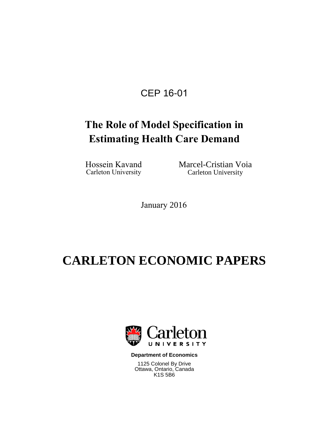## CEP 16-01

# **The Role of Model Specification in Estimating Health Care Demand**

Carleton University

Hossein Kavand Marcel-Cristian Voia<br>Carleton University Carleton University

January 2016

# **CARLETON ECONOMIC PAPERS**



**Department of Economics**

1125 Colonel By Drive Ottawa, Ontario, Canada K1S 5B6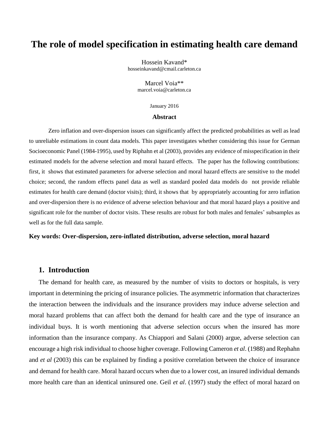## **The role of model specification in estimating health care demand**

Hossein Kavand\* hosseinkavand@cmail.carleton.ca

> Marcel Voia\*\* [marcel.voia@carleton.ca](mailto:marcel.voia@carleton.ca)

> > January 2016

#### **Abstract**

Zero inflation and over-dispersion issues can significantly affect the predicted probabilities as well as lead to unreliable estimations in count data models. This paper investigates whether considering this issue for German Socioeconomic Panel (1984-1995), used by Riphahn et al (2003), provides any evidence of misspecification in their estimated models for the adverse selection and moral hazard effects. The paper has the following contributions: first, it shows that estimated parameters for adverse selection and moral hazard effects are sensitive to the model choice; second, the random effects panel data as well as standard pooled data models do not provide reliable estimates for health care demand (doctor visits); third, it shows that by appropriately accounting for zero inflation and over-dispersion there is no evidence of adverse selection behaviour and that moral hazard plays a positive and significant role for the number of doctor visits. These results are robust for both males and females' subsamples as well as for the full data sample.

#### **Key words: Over-dispersion, zero-inflated distribution, adverse selection, moral hazard**

#### **1. Introduction**

The demand for health care, as measured by the number of visits to doctors or hospitals, is very important in determining the pricing of insurance policies. The asymmetric information that characterizes the interaction between the individuals and the insurance providers may induce adverse selection and moral hazard problems that can affect both the demand for health care and the type of insurance an individual buys. It is worth mentioning that adverse selection occurs when the insured has more information than the insurance company. As Chiappori and Salani (2000) argue, adverse selection can encourage a high risk individual to choose higher coverage. Following Cameron *et al*. (1988) and Rephahn and *et al* (2003) this can be explained by finding a positive correlation between the choice of insurance and demand for health care. Moral hazard occurs when due to a lower cost, an insured individual demands more health care than an identical uninsured one. Geil *et al*. (1997) study the effect of moral hazard on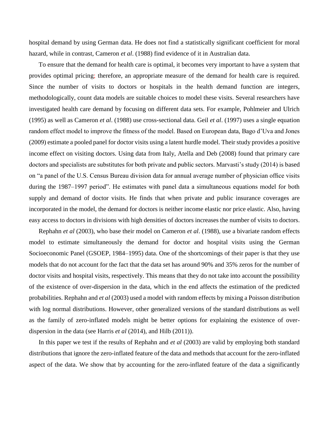hospital demand by using German data. He does not find a statistically significant coefficient for moral hazard, while in contrast, Cameron *et al*. (1988) find evidence of it in Australian data.

To ensure that the demand for health care is optimal, it becomes very important to have a system that provides optimal pricing; therefore, an appropriate measure of the demand for health care is required. Since the number of visits to doctors or hospitals in the health demand function are integers, methodologically, count data models are suitable choices to model these visits. Several researchers have investigated health care demand by focusing on different data sets. For example, Pohlmeier and Ulrich (1995) as well as Cameron *et al*. (1988) use cross-sectional data. Geil *et al*. (1997) uses a single equation random effect model to improve the fitness of the model. Based on European data, Bago d'Uva and Jones (2009) estimate a pooled panel for doctor visits using a latent hurdle model. Their study provides a positive income effect on visiting doctors. Using data from Italy, Atella and Deb (2008) found that primary care doctors and specialists are substitutes for both private and public sectors. Marvasti's study (2014) is based on "a panel of the U.S. Census Bureau division data for annual average number of physician office visits during the 1987–1997 period". He estimates with panel data a simultaneous equations model for both supply and demand of doctor visits. He finds that when private and public insurance coverages are incorporated in the model, the demand for doctors is neither income elastic nor price elastic. Also, having easy access to doctors in divisions with high densities of doctors increases the number of visits to doctors.

Rephahn *et al* (2003), who base their model on Cameron *et al*. (1988), use a bivariate random effects model to estimate simultaneously the demand for doctor and hospital visits using the German Socioeconomic Panel (GSOEP, 1984–1995) data. One of the shortcomings of their paper is that they use models that do not account for the fact that the data set has around 90% and 35% zeros for the number of doctor visits and hospital visits, respectively. This means that they do not take into account the possibility of the existence of over-dispersion in the data, which in the end affects the estimation of the predicted probabilities. Rephahn and *et al* (2003) used a model with random effects by mixing a Poisson distribution with log normal distributions. However, other generalized versions of the standard distributions as well as the family of zero-inflated models might be better options for explaining the existence of overdispersion in the data (see Harris *et al* (2014), and Hilb (2011)).

In this paper we test if the results of Rephahn and *et al* (2003) are valid by employing both standard distributions that ignore the zero-inflated feature of the data and methods that account for the zero-inflated aspect of the data. We show that by accounting for the zero-inflated feature of the data a significantly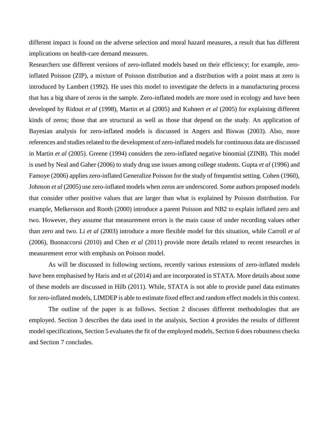different impact is found on the adverse selection and moral hazard measures, a result that has different implications on health-care demand measures.

Researchers use different versions of zero-inflated models based on their efficiency; for example, zeroinflated Poisson (ZIP), a mixture of Poisson distribution and a distribution with a point mass at zero is introduced by Lambert (1992). He uses this model to investigate the defects in a manufacturing process that has a big share of zeros in the sample. Zero-inflated models are more used in ecology and have been developed by Ridout *et al* (1998), Martin et al (2005) and Kuhnert *et al* (2005) for explaining different kinds of zeros; those that are structural as well as those that depend on the study. An application of Bayesian analysis for zero-inflated models is discussed in Angers and Biswas (2003). Also, more references and studies related to the development of zero-inflated models for continuous data are discussed in Martin *et al* (2005). Greene (1994) considers the zero-inflated negative binomial (ZINB). This model is used by Neal and Gaher (2006) to study drug use issues among college students. Gupta *et al* (1996) and Famoye (2006) applies zero-inflated Generalize Poisson for the study of frequentist setting. Cohen (1960), Johnson *et al* (2005) use zero-inflated models when zeros are underscored. Some authors proposed models that consider other positive values that are larger than what is explained by Poisson distribution. For example, Melkersson and Rooth (2000) introduce a parent Poisson and NB2 to explain inflated zero and two. However, they assume that measurement errors is the main cause of under recording values other than zero and two. Li *et al* (2003) introduce a more flexible model for this situation, while Carroll *et al* (2006), Buonaccorsi (2010) and Chen *et al* (2011) provide more details related to recent researches in measurement error with emphasis on Poisson model.

As will be discussed in following sections, recently various extensions of zero-inflated models have been emphasised by Haris and *et al* (2014) and are incorporated in STATA. More details about some of these models are discussed in Hilb (2011). While, STATA is not able to provide panel data estimates for zero-inflated models, LIMDEP is able to estimate fixed effect and random effect models in this context.

The outline of the paper is as follows. Section 2 discuses different methodologies that are employed. Section 3 describes the data used in the analysis, Section 4 provides the results of different model specifications, Section 5 evaluates the fit of the employed models, Section 6 does robustness checks and Section 7 concludes.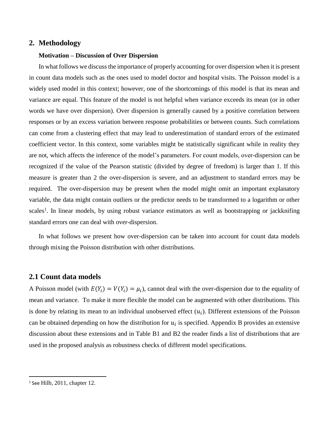#### **2. Methodology**

#### **Motivation – Discussion of Over Dispersion**

In what follows we discuss the importance of properly accounting for over dispersion when it is present in count data models such as the ones used to model doctor and hospital visits. The Poisson model is a widely used model in this context; however, one of the shortcomings of this model is that its mean and variance are equal. This feature of the model is not helpful when variance exceeds its mean (or in other words we have over dispersion). Over dispersion is generally caused by a positive correlation between responses or by an excess variation between response probabilities or between counts. Such correlations can come from a clustering effect that may lead to underestimation of standard errors of the estimated coefficient vector. In this context, some variables might be statistically significant while in reality they are not, which affects the inference of the model's parameters. For count models, over-dispersion can be recognized if the value of the Pearson statistic (divided by degree of freedom) is larger than 1. If this measure is greater than 2 the over-dispersion is severe, and an adjustment to standard errors may be required. The over-dispersion may be present when the model might omit an important explanatory variable, the data might contain outliers or the predictor needs to be transformed to a logarithm or other scales<sup>1</sup>. In linear models, by using robust variance estimators as well as bootstrapping or jackknifing standard errors one can deal with over-dispersion.

In what follows we present how over-dispersion can be taken into account for count data models through mixing the Poisson distribution with other distributions.

#### **2.1 Count data models**

A Poisson model (with  $E(Y_i) = V(Y_i) = \mu_i$ ), cannot deal with the over-dispersion due to the equality of mean and variance. To make it more flexible the model can be augmented with other distributions. This is done by relating its mean to an individual unobserved effect  $(u_i)$ . Different extensions of the Poisson can be obtained depending on how the distribution for  $u_i$  is specified. Appendix B provides an extensive discussion about these extensions and in Table B1 and B2 the reader finds a list of distributions that are used in the proposed analysis as robustness checks of different model specifications.

 $\overline{\phantom{a}}$ 

<sup>1</sup> See Hilb, 2011, chapter 12.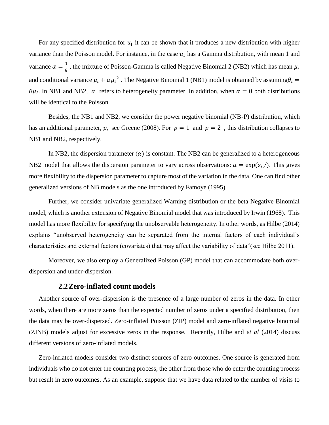For any specified distribution for  $u_i$  it can be shown that it produces a new distribution with higher variance than the Poisson model. For instance, in the case  $u_i$  has a Gamma distribution, with mean 1 and variance  $\alpha = \frac{1}{\alpha}$  $\frac{1}{\theta}$ , the mixture of Poisson-Gamma is called Negative Binomial 2 (NB2) which has mean  $\mu_i$ and conditional variance  $\mu_i + \alpha \mu_i^2$ . The Negative Binomial 1 (NB1) model is obtained by assuming  $\theta_i =$  $\theta\mu_i$ . In NB1 and NB2,  $\alpha$  refers to heterogeneity parameter. In addition, when  $\alpha = 0$  both distributions will be identical to the Poisson.

Besides, the NB1 and NB2, we consider the power negative binomial (NB-P) distribution, which has an additional parameter, p, see Greene (2008). For  $p = 1$  and  $p = 2$ , this distribution collapses to NB1 and NB2, respectively.

In NB2, the dispersion parameter  $(a)$  is constant. The NB2 can be generalized to a heterogeneous NB2 model that allows the dispersion parameter to vary across observations:  $\alpha = \exp(z_i \gamma)$ . This gives more flexibility to the dispersion parameter to capture most of the variation in the data. One can find other generalized versions of NB models as the one introduced by Famoye (1995).

Further, we consider univariate generalized Warning distribution or the beta Negative Binomial model, which is another extension of Negative Binomial model that was introduced by Irwin (1968). This model has more flexibility for specifying the unobservable heterogeneity. In other words, as Hilbe (2014) explains "unobserved heterogeneity can be separated from the internal factors of each individual's characteristics and external factors (covariates) that may affect the variability of data"(see Hilbe 2011).

Moreover, we also employ a Generalized Poisson (GP) model that can accommodate both overdispersion and under-dispersion.

#### **2.2Zero-inflated count models**

Another source of over-dispersion is the presence of a large number of zeros in the data. In other words, when there are more zeros than the expected number of zeros under a specified distribution, then the data may be over-dispersed. Zero-inflated Poisson (ZIP) model and zero-inflated negative binomial (ZINB) models adjust for excessive zeros in the response. Recently, Hilbe and *et al* (2014) discuss different versions of zero-inflated models.

Zero-inflated models consider two distinct sources of zero outcomes. One source is generated from individuals who do not enter the counting process, the other from those who do enter the counting process but result in zero outcomes. As an example, suppose that we have data related to the number of visits to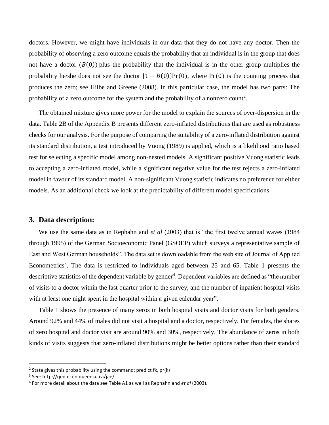doctors. However, we might have individuals in our data that they do not have any doctor. Then the probability of observing a zero outcome equals the probability that an individual is in the group that does not have a doctor  $(B(0))$  plus the probability that the individual is in the other group multiplies the probability he/she does not see the doctor  $\{1 - B(0)\}Pr(0)$ , where  $Pr(0)$  is the counting process that produces the zero; see Hilbe and Greene (2008). In this particular case, the model has two parts: The probability of a zero outcome for the system and the probability of a nonzero count<sup>2</sup>.

The obtained mixture gives more power for the model to explain the sources of over-dispersion in the data. Table 2B of the Appendix B presents different zero-inflated distributions that are used as robustness checks for our analysis. For the purpose of comparing the suitability of a zero-inflated distribution against its standard distribution, a test introduced by Vuong (1989) is applied, which is a likelihood ratio based test for selecting a specific model among non-nested models. A significant positive Vuong statistic leads to accepting a zero-inflated model, while a significant negative value for the test rejects a zero-inflated model in favour of its standard model. A non-significant Vuong statistic indicates no preference for either models. As an additional check we look at the predictability of different model specifications.

#### **3. Data description:**

We use the same data as in Rephahn and *et al* (2003) that is "the first twelve annual waves (1984 through 1995) of the German Socioeconomic Panel (GSOEP) which surveys a representative sample of East and West German households". The data set is downloadable from the web site of Journal of Applied Econometrics<sup>3</sup>. The data is restricted to individuals aged between 25 and 65. Table 1 presents the descriptive statistics of the dependent variable by gender<sup>4</sup>. Dependent variables are defined as "the number of visits to a doctor within the last quarter prior to the survey, and the number of inpatient hospital visits with at least one night spent in the hospital within a given calendar year".

Table 1 shows the presence of many zeros in both hospital visits and doctor visits for both genders. Around 92% and 44% of males did not visit a hospital and a doctor, respectively. For females, the shares of zero hospital and doctor visit are around 90% and 30%, respectively. The abundance of zeros in both kinds of visits suggests that zero-inflated distributions might be better options rather than their standard

 $\overline{\phantom{a}}$ 

<sup>&</sup>lt;sup>2</sup> Stata gives this probability using the command: predict fk, pr(k)

<sup>3</sup> See: http://qed.econ.queensu.ca/jae/

<sup>4</sup> For more detail about the data see Table A1 as well as Rephahn and *et al* (2003).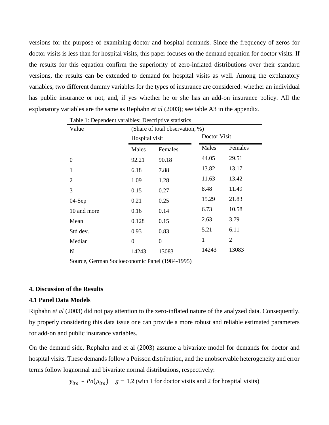versions for the purpose of examining doctor and hospital demands. Since the frequency of zeros for doctor visits is less than for hospital visits, this paper focuses on the demand equation for doctor visits. If the results for this equation confirm the superiority of zero-inflated distributions over their standard versions, the results can be extended to demand for hospital visits as well. Among the explanatory variables, two different dummy variables for the types of insurance are considered: whether an individual has public insurance or not, and, if yes whether he or she has an add-on insurance policy. All the explanatory variables are the same as Rephahn *et al* (2003); see table A3 in the appendix.

| Value            | (Share of total observation, %) |                |              |         |  |
|------------------|---------------------------------|----------------|--------------|---------|--|
|                  | Hospital visit                  |                | Doctor Visit |         |  |
|                  | Males                           | Females        |              | Females |  |
| $\boldsymbol{0}$ | 92.21                           | 90.18          | 44.05        | 29.51   |  |
| 1                | 6.18                            | 7.88           | 13.82        | 13.17   |  |
| 2                | 1.09                            | 1.28           | 11.63        | 13.42   |  |
| 3                | 0.15                            | 0.27           | 8.48         | 11.49   |  |
| 04-Sep           | 0.21                            | 0.25           | 15.29        | 21.83   |  |
| 10 and more      | 0.16                            | 0.14           | 6.73         | 10.58   |  |
| Mean             | 0.128                           | 0.15           | 2.63         | 3.79    |  |
| Std dev.         | 0.93                            | 0.83           | 5.21         | 6.11    |  |
| Median           | $\theta$                        | $\overline{0}$ | $\mathbf{1}$ | 2       |  |
| N                | 14243                           | 13083          | 14243        | 13083   |  |

Table 1: Dependent varaibles: Descriptive statistics

Source, German Socioeconomic Panel (1984-1995)

#### **4. Discussion of the Results**

#### **4.1 Panel Data Models**

Riphahn *et al* (2003) did not pay attention to the zero-inflated nature of the analyzed data. Consequently, by properly considering this data issue one can provide a more robust and reliable estimated parameters for add-on and public insurance variables.

On the demand side, Rephahn and et al (2003) assume a bivariate model for demands for doctor and hospital visits. These demands follow a Poisson distribution, and the unobservable heterogeneity and error terms follow lognormal and bivariate normal distributions, respectively:

 $y_{itq} \sim Po(\mu_{itq})$  = 1,2 (with 1 for doctor visits and 2 for hospital visits)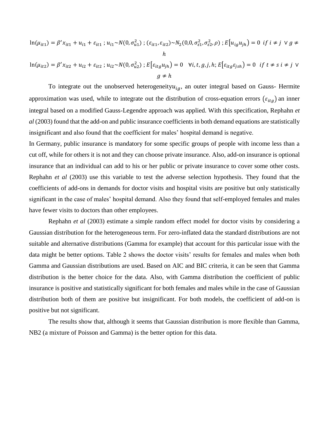$$
\ln(\mu_{it1}) = \beta' x_{it1} + u_{i1} + \varepsilon_{it1} ; u_{i1} \sim N(0, \sigma_{u1}^2) ; (\varepsilon_{it1}, \varepsilon_{it2}) \sim N_2(0, 0, \sigma_{\varepsilon_1}^2, \sigma_{\varepsilon_2}^2, \rho) ; E[u_{ig}u_{jh}] = 0 \text{ if } i \neq j \lor g \neq h
$$

$$
\ln(\mu_{it2}) = \beta' x_{it2} + u_{i2} + \varepsilon_{it2} ; u_{i2} \sim N(0, \sigma_{u2}^2) ; E[\varepsilon_{itg} u_{jh}] = 0 \quad \forall i, t, g, j, h; E[\varepsilon_{itg} \varepsilon_{jsh}] = 0 \quad \text{if } t \neq s \quad i \neq j \quad \forall g \neq h
$$

To integrate out the unobserved heterogeneity $u_{i,q}$ , an outer integral based on Gauss- Hermite approximation was used, while to integrate out the distribution of cross-equation errors  $(\varepsilon_{itg})$  an inner integral based on a modified Gauss-Legendre approach was applied. With this specification, Rephahn *et al* (2003) found that the add-on and public insurance coefficients in both demand equations are statistically insignificant and also found that the coefficient for males' hospital demand is negative.

In Germany, public insurance is mandatory for some specific groups of people with income less than a cut off, while for others it is not and they can choose private insurance. Also, add-on insurance is optional insurance that an individual can add to his or her public or private insurance to cover some other costs. Rephahn *et al* (2003) use this variable to test the adverse selection hypothesis. They found that the coefficients of add-ons in demands for doctor visits and hospital visits are positive but only statistically significant in the case of males' hospital demand. Also they found that self-employed females and males have fewer visits to doctors than other employees.

Rephahn *et al* (2003) estimate a simple random effect model for doctor visits by considering a Gaussian distribution for the heterogeneous term. For zero-inflated data the standard distributions are not suitable and alternative distributions (Gamma for example) that account for this particular issue with the data might be better options. Table 2 shows the doctor visits' results for females and males when both Gamma and Gaussian distributions are used. Based on AIC and BIC criteria, it can be seen that Gamma distribution is the better choice for the data. Also, with Gamma distribution the coefficient of public insurance is positive and statistically significant for both females and males while in the case of Gaussian distribution both of them are positive but insignificant. For both models, the coefficient of add-on is positive but not significant.

The results show that, although it seems that Gaussian distribution is more flexible than Gamma, NB2 (a mixture of Poisson and Gamma) is the better option for this data.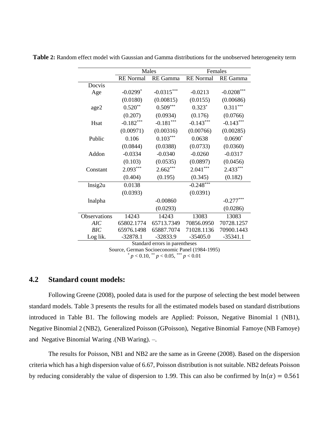|              |                                                | Males                          |                  | Females      |  |  |
|--------------|------------------------------------------------|--------------------------------|------------------|--------------|--|--|
|              | <b>RE</b> Normal                               | RE Gamma                       | <b>RE</b> Normal | RE Gamma     |  |  |
| Docvis       |                                                |                                |                  |              |  |  |
| Age          | $-0.0299*$                                     | $-0.0315***$                   | $-0.0213$        | $-0.0208***$ |  |  |
|              | (0.0180)                                       | (0.00815)                      | (0.0155)         | (0.00686)    |  |  |
| age2         | $0.520**$                                      | $0.509***$                     | $0.323*$         | $0.311***$   |  |  |
|              | (0.207)                                        | (0.0934)                       | (0.176)          | (0.0766)     |  |  |
| Hsat         | $-0.182***$                                    | $-0.181***$                    | $-0.143***$      | $-0.143***$  |  |  |
|              | (0.00971)                                      | (0.00316)                      | (0.00766)        | (0.00285)    |  |  |
| Public       | 0.106                                          | $0.103***$                     | 0.0638           | $0.0690*$    |  |  |
|              | (0.0844)                                       | (0.0388)                       | (0.0733)         | (0.0360)     |  |  |
| Addon        | $-0.0334$                                      | $-0.0340$                      | $-0.0260$        | $-0.0317$    |  |  |
|              | (0.103)                                        | (0.0535)                       | (0.0897)         | (0.0456)     |  |  |
| Constant     | $2.093***$                                     | $2.662***$                     | $2.041***$       | $2.433***$   |  |  |
|              | (0.404)                                        | (0.195)                        | (0.345)          | (0.182)      |  |  |
| lnsig2u      | 0.0138                                         |                                | $-0.248***$      |              |  |  |
|              | (0.0393)                                       |                                | (0.0391)         |              |  |  |
| lnalpha      |                                                | $-0.00860$                     |                  | $-0.277***$  |  |  |
|              |                                                | (0.0293)                       |                  | (0.0286)     |  |  |
| Observations | 14243                                          | 14243                          | 13083            | 13083        |  |  |
| AIC          | 65802.1774                                     | 65713.7349                     | 70856.0950       | 70728.1257   |  |  |
| <b>BIC</b>   | 65976.1498                                     | 65887.7074                     | 71028.1136       | 70900.1443   |  |  |
| Log lik.     | $-32878.1$                                     | -32833.9                       | $-35405.0$       | $-35341.1$   |  |  |
|              |                                                | Standard errors in parentheses |                  |              |  |  |
|              | Source, German Socioeconomic Panel (1984-1995) |                                |                  |              |  |  |

**Table 2:** Random effect model with Gaussian and Gamma distributions for the unobserved heterogeneity term

\* *p* < 0.10, \*\* *p* < 0.05, \*\*\* *p* < 0.01

#### **4.2 Standard count models:**

Following Greene (2008), pooled data is used for the purpose of selecting the best model between standard models. Table 3 presents the results for all the estimated models based on standard distributions introduced in Table B1. The following models are Applied: Poisson, Negative Binomial 1 (NB1), Negative Binomial 2 (NB2), Generalized Poisson (GPoisson), Negative Binomial Famoye (NB Famoye) and Negative Binomial Waring .(NB Waring). –.

The results for Poisson, NB1 and NB2 are the same as in Greene (2008). Based on the dispersion criteria which has a high dispersion value of 6.67, Poisson distribution is not suitable. NB2 defeats Poisson by reducing considerably the value of dispersion to 1.99. This can also be confirmed by  $ln(\alpha) = 0.561$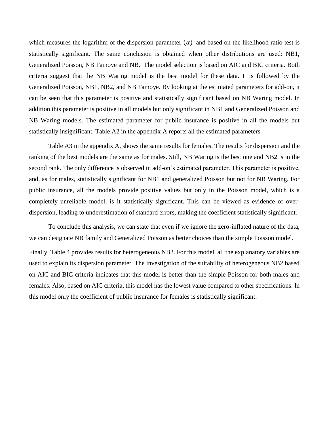which measures the logarithm of the dispersion parameter  $(\alpha)$  and based on the likelihood ratio test is statistically significant. The same conclusion is obtained when other distributions are used: NB1, Generalized Poisson, NB Famoye and NB. The model selection is based on AIC and BIC criteria. Both criteria suggest that the NB Waring model is the best model for these data. It is followed by the Generalized Poisson, NB1, NB2, and NB Famoye. By looking at the estimated parameters for add-on, it can be seen that this parameter is positive and statistically significant based on NB Waring model. In addition this parameter is positive in all models but only significant in NB1 and Generalized Poisson and NB Waring models. The estimated parameter for public insurance is positive in all the models but statistically insignificant. Table A2 in the appendix A reports all the estimated parameters.

Table A3 in the appendix A, shows the same results for females. The results for dispersion and the ranking of the best models are the same as for males. Still, NB Waring is the best one and NB2 is in the second rank. The only difference is observed in add-on's estimated parameter. This parameter is positive, and, as for males, statistically significant for NB1 and generalized Poisson but not for NB Waring. For public insurance, all the models provide positive values but only in the Poisson model, which is a completely unreliable model, is it statistically significant. This can be viewed as evidence of overdispersion, leading to underestimation of standard errors, making the coefficient statistically significant.

To conclude this analysis, we can state that even if we ignore the zero-inflated nature of the data, we can designate NB family and Generalized Poisson as better choices than the simple Poisson model.

Finally, Table 4 provides results for heterogeneous NB2. For this model, all the explanatory variables are used to explain its dispersion parameter. The investigation of the suitability of heterogeneous NB2 based on AIC and BIC criteria indicates that this model is better than the simple Poisson for both males and females. Also, based on AIC criteria, this model has the lowest value compared to other specifications. In this model only the coefficient of public insurance for females is statistically significant.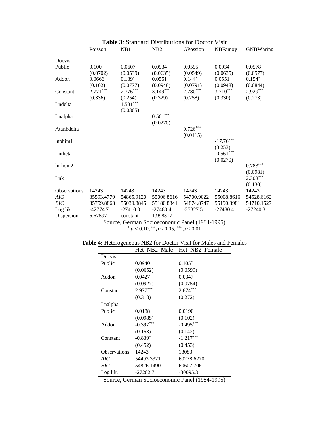|              | Poisson    | NB1                                                       | NB2        | GPossion   | <b>NBFamoy</b> | <b>GNBWaring</b> |
|--------------|------------|-----------------------------------------------------------|------------|------------|----------------|------------------|
| Docvis       |            |                                                           |            |            |                |                  |
| Public       | 0.100      | 0.0607                                                    | 0.0934     | 0.0595     | 0.0934         | 0.0578           |
|              | (0.0702)   | (0.0539)                                                  | (0.0635)   | (0.0549)   | (0.0635)       | (0.0577)         |
| Addon        | 0.0666     | $0.139*$                                                  | 0.0551     | $0.144*$   | 0.0551         | $0.154*$         |
|              | (0.102)    | (0.0777)                                                  | (0.0948)   | (0.0791)   | (0.0948)       | (0.0844)         |
| Constant     | $2.771***$ | $2.776***$                                                | $3.149***$ | $2.780***$ | $3.710***$     | $2.929***$       |
|              | (0.336)    | (0.254)                                                   | (0.329)    | (0.258)    | (0.330)        | (0.273)          |
| Lndelta      |            | $1.581***$                                                |            |            |                |                  |
|              |            | (0.0365)                                                  |            |            |                |                  |
| Lnalpha      |            |                                                           | $0.561***$ |            |                |                  |
|              |            |                                                           | (0.0270)   |            |                |                  |
| Atanhdelta   |            |                                                           |            | $0.726***$ |                |                  |
|              |            |                                                           |            | (0.0115)   |                |                  |
| lnphim1      |            |                                                           |            |            | $-17.76***$    |                  |
|              |            |                                                           |            |            | (3.253)        |                  |
| Lntheta      |            |                                                           |            |            | $-0.561***$    |                  |
|              |            |                                                           |            |            | (0.0270)       |                  |
| lnrhom2      |            |                                                           |            |            |                | $0.783***$       |
|              |            |                                                           |            |            |                | (0.0981)         |
| Lnk          |            |                                                           |            |            |                | $2.303***$       |
|              |            |                                                           |            |            |                | (0.130)          |
| Observations | 14243      | 14243                                                     | 14243      | 14243      | 14243          | 14243            |
| AIC          | 85593.4779 | 54865.9120                                                | 55006.8616 | 54700.9022 | 55008.8616     | 54528.6162       |
| <b>BIC</b>   | 85759.8863 | 55039.8845                                                | 55180.8341 | 54874.8747 | 55190.3981     | 54710.1527       |
| Log lik.     | $-42774.7$ | $-27410.0$                                                | $-27480.4$ | $-27327.5$ | $-27480.4$     | $-27240.3$       |
| Dispersion   | 6.67597    | constant<br>Source German Socioeconomic Panel (1984-1995) | 1.998817   |            |                |                  |

**Table 3**: Standard Distributions for Doctor Visit

Source, German Socioeconomic Panel (1984-1995) \* *p* < 0.10, \*\* *p* < 0.05, \*\*\* *p* < 0.01

| Table 4: Heterogeneous NB2 for Doctor Visit for Males and Females |  |
|-------------------------------------------------------------------|--|
|-------------------------------------------------------------------|--|

|                     |             | Het_NB2_Male Het_NB2_Female         |
|---------------------|-------------|-------------------------------------|
| Docvis              |             |                                     |
| Public              | 0.0940      | $0.105*$                            |
|                     | (0.0652)    | (0.0599)                            |
| Addon               | 0.0427      | 0.0347                              |
|                     | (0.0927)    | (0.0754)                            |
| Constant            | $2.977***$  | $2.874***$                          |
|                     | (0.318)     | (0.272)                             |
| Lnalpha             |             |                                     |
| Public              | 0.0188      | 0.0190                              |
|                     | (0.0985)    | (0.102)                             |
| Addon               | $-0.397***$ | $-0.495***$                         |
|                     | (0.153)     | (0.142)                             |
| Constant            | $-0.839*$   | $-1.217***$                         |
|                     | (0.452)     | (0.453)                             |
| <b>Observations</b> | 14243       | 13083                               |
| AIC                 | 54493.3321  | 60278.6270                          |
| BIC                 | 54826.1490  | 60607.7061                          |
| Log lik.            | $-27202.7$  | $-30095.3$                          |
|                     | $\Omega$    | $1.7$ D <sub>r.</sub> $1/1004.1005$ |

Source, German Socioeconomic Panel (1984-1995)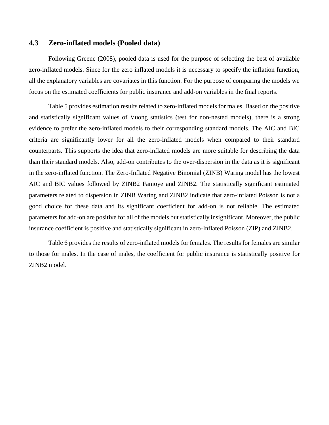#### **4.3 Zero-inflated models (Pooled data)**

Following Greene (2008), pooled data is used for the purpose of selecting the best of available zero-inflated models. Since for the zero inflated models it is necessary to specify the inflation function, all the explanatory variables are covariates in this function. For the purpose of comparing the models we focus on the estimated coefficients for public insurance and add-on variables in the final reports.

Table 5 provides estimation results related to zero-inflated models for males. Based on the positive and statistically significant values of Vuong statistics (test for non-nested models), there is a strong evidence to prefer the zero-inflated models to their corresponding standard models. The AIC and BIC criteria are significantly lower for all the zero-inflated models when compared to their standard counterparts. This supports the idea that zero-inflated models are more suitable for describing the data than their standard models. Also, add-on contributes to the over-dispersion in the data as it is significant in the zero-inflated function. The Zero-Inflated Negative Binomial (ZINB) Waring model has the lowest AIC and BIC values followed by ZINB2 Famoye and ZINB2. The statistically significant estimated parameters related to dispersion in ZINB Waring and ZINB2 indicate that zero-inflated Poisson is not a good choice for these data and its significant coefficient for add-on is not reliable. The estimated parameters for add-on are positive for all of the models but statistically insignificant. Moreover, the public insurance coefficient is positive and statistically significant in zero-Inflated Poisson (ZIP) and ZINB2.

Table 6 provides the results of zero-inflated models for females. The results for females are similar to those for males. In the case of males, the coefficient for public insurance is statistically positive for ZINB2 model.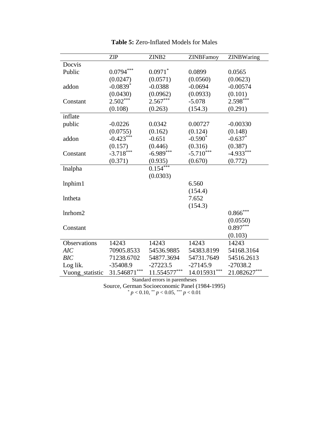|                                                                                     | <b>ZIP</b>     | ZINB <sub>2</sub> | <b>ZINBFamoy</b> | ZINBWaring   |  |  |
|-------------------------------------------------------------------------------------|----------------|-------------------|------------------|--------------|--|--|
| Docvis                                                                              |                |                   |                  |              |  |  |
| Public                                                                              | $0.0794***$    | $0.0971$ *        | 0.0899           | 0.0565       |  |  |
|                                                                                     | (0.0247)       | (0.0571)          | (0.0560)         | (0.0623)     |  |  |
| addon                                                                               | $-0.0839*$     | $-0.0388$         | $-0.0694$        | $-0.00574$   |  |  |
|                                                                                     | (0.0430)       | (0.0962)          | (0.0933)         | (0.101)      |  |  |
| Constant                                                                            | $2.502***$     | $2.567***$        | $-5.078$         | $2.598***$   |  |  |
|                                                                                     | (0.108)        | (0.263)           | (154.3)          | (0.291)      |  |  |
| inflate                                                                             |                |                   |                  |              |  |  |
| public                                                                              | $-0.0226$      | 0.0342            | 0.00727          | $-0.00330$   |  |  |
|                                                                                     | (0.0755)       | (0.162)           | (0.124)          | (0.148)      |  |  |
| addon                                                                               | $-0.423***$    | $-0.651$          | $-0.590*$        | $-0.637*$    |  |  |
|                                                                                     | (0.157)        | (0.446)           | (0.316)          | (0.387)      |  |  |
| Constant                                                                            | $-3.718***$    | $-6.989***$       | $-5.710***$      | $-4.933***$  |  |  |
|                                                                                     | (0.371)        | (0.935)           | (0.670)          | (0.772)      |  |  |
| lnalpha                                                                             |                | $0.154***$        |                  |              |  |  |
|                                                                                     |                | (0.0303)          |                  |              |  |  |
| lnphim1                                                                             |                |                   | 6.560            |              |  |  |
|                                                                                     |                |                   | (154.4)          |              |  |  |
| lntheta                                                                             |                |                   | 7.652            |              |  |  |
|                                                                                     |                |                   | (154.3)          |              |  |  |
| lnrhom2                                                                             |                |                   |                  | $0.866$ ***  |  |  |
|                                                                                     |                |                   |                  | (0.0550)     |  |  |
| Constant                                                                            |                |                   |                  | $0.897***$   |  |  |
|                                                                                     |                |                   |                  | (0.103)      |  |  |
| Observations                                                                        | 14243          | 14243             | 14243            | 14243        |  |  |
| <b>AIC</b>                                                                          | 70905.8533     | 54536.9885        | 54383.8199       | 54168.3164   |  |  |
| <b>BIC</b>                                                                          | 71238.6702     | 54877.3694        | 54731.7649       | 54516.2613   |  |  |
| Log lik.                                                                            | $-35408.9$     | $-27223.5$        | $-27145.9$       | $-27038.2$   |  |  |
| Vuong_statistic                                                                     | $31.546871***$ | $11.554577***$    | $14.015931***$   | 21.082627*** |  |  |
| Standard errors in parentheses<br>$\mathbf{r}$ $\mathbf{r}$<br>$\sim$<br>1/1001100F |                |                   |                  |              |  |  |

| <b>Table 5: Zero-Inflated Models for Males</b> |  |  |  |
|------------------------------------------------|--|--|--|
|------------------------------------------------|--|--|--|

Source, German Socioeconomic Panel (1984-1995)

\* *p* < 0.10, \*\* *p* < 0.05, \*\*\* *p* < 0.01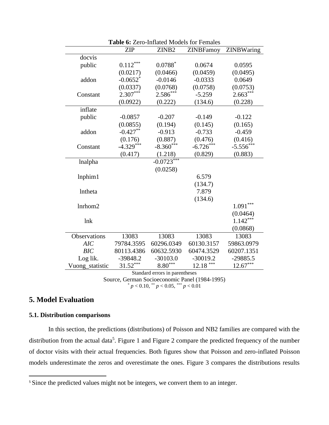|                 | Table 6: Zero-Inflated Models for Females      |                                |                  |             |  |  |  |
|-----------------|------------------------------------------------|--------------------------------|------------------|-------------|--|--|--|
|                 | <b>ZIP</b>                                     | ZINB <sub>2</sub>              | <b>ZINBFamoy</b> | ZINBWaring  |  |  |  |
| docvis          |                                                |                                |                  |             |  |  |  |
| public          | $0.112***$                                     | $0.0788*$                      | 0.0674           | 0.0595      |  |  |  |
|                 | (0.0217)                                       | (0.0466)                       | (0.0459)         | (0.0495)    |  |  |  |
| addon           | $-0.0652$ <sup>*</sup>                         | $-0.0146$                      | $-0.0333$        | 0.0649      |  |  |  |
|                 | (0.0337)                                       | (0.0768)                       | (0.0758)         | (0.0753)    |  |  |  |
| Constant        | 2.307***                                       | 2.586***                       | $-5.259$         | $2.663***$  |  |  |  |
|                 | (0.0922)                                       | (0.222)                        | (134.6)          | (0.228)     |  |  |  |
| inflate         |                                                |                                |                  |             |  |  |  |
| public          | $-0.0857$                                      | $-0.207$                       | $-0.149$         | $-0.122$    |  |  |  |
|                 | (0.0855)                                       | (0.194)                        | (0.145)          | (0.165)     |  |  |  |
| addon           | $-0.427**$                                     | $-0.913$                       | $-0.733$         | $-0.459$    |  |  |  |
|                 | (0.176)                                        | (0.887)                        | (0.476)          | (0.416)     |  |  |  |
| Constant        | $-4.329***$                                    | $-8.360***$                    | $-6.726***$      | $-5.556***$ |  |  |  |
|                 | (0.417)                                        | (1.218)                        | (0.829)          | (0.883)     |  |  |  |
| lnalpha         |                                                | $-0.0723***$                   |                  |             |  |  |  |
|                 |                                                | (0.0258)                       |                  |             |  |  |  |
| lnphim1         |                                                |                                | 6.579            |             |  |  |  |
|                 |                                                |                                | (134.7)          |             |  |  |  |
| <b>Intheta</b>  |                                                |                                | 7.879            |             |  |  |  |
|                 |                                                |                                | (134.6)          |             |  |  |  |
| lnrhom2         |                                                |                                |                  | $1.091***$  |  |  |  |
|                 |                                                |                                |                  | (0.0464)    |  |  |  |
| lnk             |                                                |                                |                  | $1.142***$  |  |  |  |
|                 |                                                |                                |                  | (0.0868)    |  |  |  |
| Observations    | 13083                                          | 13083                          | 13083            | 13083       |  |  |  |
| AIC             | 79784.3595                                     | 60296.0349                     | 60130.3157       | 59863.0979  |  |  |  |
| <b>BIC</b>      | 80113.4386                                     | 60632.5930                     | 60474.3529       | 60207.1351  |  |  |  |
| Log lik.        | -39848.2                                       | $-30103.0$                     | $-30019.2$       | $-29885.5$  |  |  |  |
| Vuong_statistic | 31.52***                                       | $8.80***$                      | ***<br>12.18     | $12.67***$  |  |  |  |
|                 |                                                | Standard errors in parentheses |                  |             |  |  |  |
|                 | Source, German Socioeconomic Panel (1984-1995) |                                |                  |             |  |  |  |

 $p < 0.10$ , \*\*  $p < 0.05$ , \*\*\*  $p < 0.01$ 

## **5. Model Evaluation**

 $\overline{a}$ 

#### **5.1. Distribution comparisons**

In this section, the predictions (distributions) of Poisson and NB2 families are compared with the distribution from the actual data<sup>5</sup>. Figure 1 and Figure 2 compare the predicted frequency of the number of doctor visits with their actual frequencies. Both figures show that Poisson and zero-inflated Poisson models underestimate the zeros and overestimate the ones. Figure 3 compares the distributions results

<sup>&</sup>lt;sup>5</sup> Since the predicted values might not be integers, we convert them to an integer.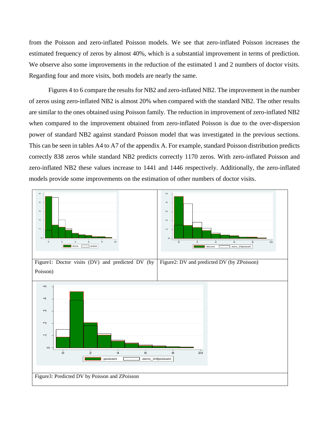from the Poisson and zero-inflated Poisson models. We see that zero-inflated Poisson increases the estimated frequency of zeros by almost 40%, which is a substantial improvement in terms of prediction. We observe also some improvements in the reduction of the estimated 1 and 2 numbers of doctor visits. Regarding four and more visits, both models are nearly the same.

Figures 4 to 6 compare the results for NB2 and zero-inflated NB2. The improvement in the number of zeros using zero-inflated NB2 is almost 20% when compared with the standard NB2. The other results are similar to the ones obtained using Poisson family. The reduction in improvement of zero-inflated NB2 when compared to the improvement obtained from zero-inflated Poisson is due to the over-dispersion power of standard NB2 against standard Poisson model that was investigated in the previous sections. This can be seen in tables A4 to A7 of the appendix A. For example, standard Poisson distribution predicts correctly 838 zeros while standard NB2 predicts correctly 1170 zeros. With zero-inflated Poisson and zero-inflated NB2 these values increase to 1441 and 1446 respectively. Additionally, the zero-inflated models provide some improvements on the estimation of other numbers of doctor visits.

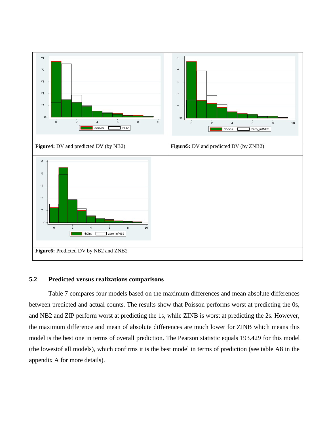

#### **5.2 Predicted versus realizations comparisons**

Table 7 compares four models based on the maximum differences and mean absolute differences between predicted and actual counts. The results show that Poisson performs worst at predicting the 0s, and NB2 and ZIP perform worst at predicting the 1s, while ZINB is worst at predicting the 2s. However, the maximum difference and mean of absolute differences are much lower for ZINB which means this model is the best one in terms of overall prediction. The Pearson statistic equals 193.429 for this model (the lowestof all models), which confirms it is the best model in terms of prediction (see table A8 in the appendix A for more details).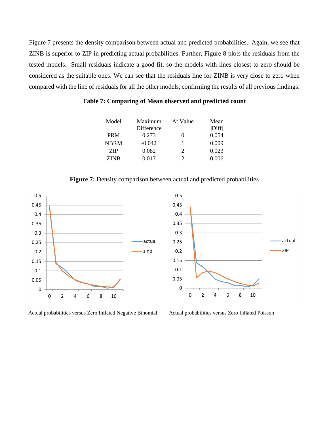Figure 7 presents the density comparison between actual and predicted probabilities. Again, we see that ZINB is superior to ZIP in predicting actual probabilities. Further, Figure 8 plots the residuals from the tested models. Small residuals indicate a good fit, so the models with lines closest to zero should be considered as the suitable ones. We can see that the residuals line for ZINB is very close to zero when compared with the line of residuals for all the other models, confirming the results of all previous findings.

**Table 7: Comparing of Mean observed and predicted count**

| Model       | Maximum    | At Value | Mean  |
|-------------|------------|----------|-------|
|             | Difference |          | Diff  |
| <b>PRM</b>  | 0.273      |          | 0.054 |
| <b>NBRM</b> | $-0.042$   |          | 0.009 |
| ZIP         | 0.082      |          | 0.023 |
| ZINB        | 0.017      |          | 0.006 |

**Figure 7:** Density comparison between actual and predicted probabilities



Actual probabilities versus Zero Inflated Negative Binomial Actual probabilities versus Zero Inflated Poisson

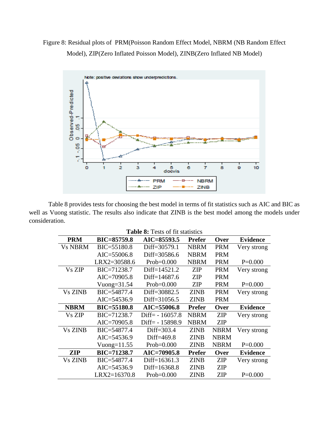## Figure 8: Residual plots of PRM(Poisson Random Effect Model, NBRM (NB Random Effect Model), ZIP(Zero Inflated Poisson Model), ZINB(Zero Inflated NB Model)



Table 8 provides tests for choosing the best model in terms of fit statistics such as AIC and BIC as well as Vuong statistic. The results also indicate that ZINB is the best model among the models under consideration.

| <b>Table 8:</b> Tests of fit statistics |  |  |
|-----------------------------------------|--|--|
|-----------------------------------------|--|--|

| <b>PRM</b>     | <b>BIC=85759.8</b> | AIC=85593.5       | <b>Prefer</b> | Over        | <b>Evidence</b> |
|----------------|--------------------|-------------------|---------------|-------------|-----------------|
| <b>Vs NBRM</b> | BIC=55180.8        | Diff=30579.1      | <b>NBRM</b>   | <b>PRM</b>  | Very strong     |
|                | $AIC = 55006.8$    | Diff=30586.6      | <b>NBRM</b>   | <b>PRM</b>  |                 |
|                | LRX2=30588.6       | $Prob=0.000$      | <b>NBRM</b>   | <b>PRM</b>  | $P=0.000$       |
| Vs ZIP         | BIC=71238.7        | Diff=14521.2      | <b>ZIP</b>    | <b>PRM</b>  | Very strong     |
|                | $AIC = 70905.8$    | Diff=14687.6      | <b>ZIP</b>    | <b>PRM</b>  |                 |
|                | Vuong= $31.54$     | $Prob=0.000$      | <b>ZIP</b>    | <b>PRM</b>  | $P=0.000$       |
| <b>Vs ZINB</b> | BIC=54877.4        | Diff=30882.5      | <b>ZINB</b>   | <b>PRM</b>  | Very strong     |
|                | $AIC = 54536.9$    | Diff=31056.5      | <b>ZINB</b>   | <b>PRM</b>  |                 |
| <b>NBRM</b>    | <b>BIC=55180.8</b> | $AIC = 55006.8$   | <b>Prefer</b> | Over        | <b>Evidence</b> |
| Vs ZIP         | BIC=71238.7        | $Diff = -16057.8$ | <b>NBRM</b>   | <b>ZIP</b>  | Very strong     |
|                | $AIC = 70905.8$    | Diff= $-15898.9$  | <b>NBRM</b>   | <b>ZIP</b>  |                 |
| <b>Vs ZINB</b> | BIC=54877.4        | Diff=303.4        | <b>ZINB</b>   | <b>NBRM</b> | Very strong     |
|                | $AIC = 54536.9$    | Diff=469.8        | <b>ZINB</b>   | <b>NBRM</b> |                 |
|                | Vuong= $11.55$     | $Prob=0.000$      | <b>ZINB</b>   | <b>NBRM</b> | $P=0.000$       |
| <b>ZIP</b>     | BIC=71238.7        | AIC=70905.8       | <b>Prefer</b> | Over        | <b>Evidence</b> |
| <b>Vs ZINB</b> | BIC=54877.4        | Diff=16361.3      | <b>ZINB</b>   | ZIP         | Very strong     |
|                | $AIC = 54536.9$    | Diff=16368.8      | <b>ZINB</b>   | <b>ZIP</b>  |                 |
|                | LRX2=16370.8       | $Prob=0.000$      | <b>ZINB</b>   | <b>ZIP</b>  | $P=0.000$       |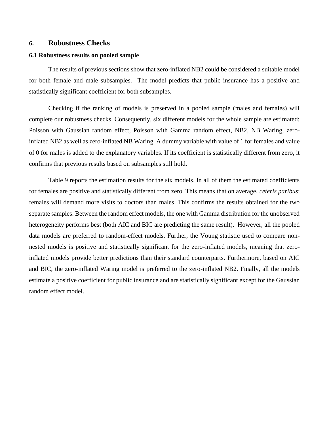#### **6. Robustness Checks**

#### **6.1 Robustness results on pooled sample**

The results of previous sections show that zero-inflated NB2 could be considered a suitable model for both female and male subsamples. The model predicts that public insurance has a positive and statistically significant coefficient for both subsamples.

Checking if the ranking of models is preserved in a pooled sample (males and females) will complete our robustness checks. Consequently, six different models for the whole sample are estimated: Poisson with Gaussian random effect, Poisson with Gamma random effect, NB2, NB Waring, zeroinflated NB2 as well as zero-inflated NB Waring. A dummy variable with value of 1 for females and value of 0 for males is added to the explanatory variables. If its coefficient is statistically different from zero, it confirms that previous results based on subsamples still hold.

Table 9 reports the estimation results for the six models. In all of them the estimated coefficients for females are positive and statistically different from zero. This means that on average, *ceteris paribus*; females will demand more visits to doctors than males. This confirms the results obtained for the two separate samples. Between the random effect models, the one with Gamma distribution for the unobserved heterogeneity performs best (both AIC and BIC are predicting the same result). However, all the pooled data models are preferred to random-effect models. Further, the Voung statistic used to compare nonnested models is positive and statistically significant for the zero-inflated models, meaning that zeroinflated models provide better predictions than their standard counterparts. Furthermore, based on AIC and BIC, the zero-inflated Waring model is preferred to the zero-inflated NB2. Finally, all the models estimate a positive coefficient for public insurance and are statistically significant except for the Gaussian random effect model.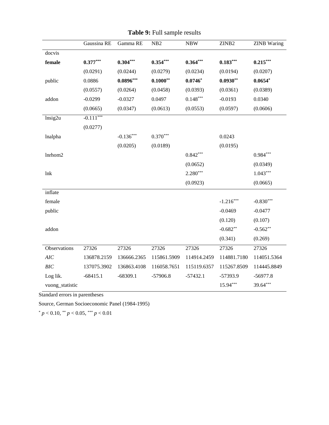|                      | Gaussina RE | Gamma RE    | NB <sub>2</sub> | <b>NBW</b>  | ZINB2       | <b>ZINB</b> Waring |
|----------------------|-------------|-------------|-----------------|-------------|-------------|--------------------|
| docvis               |             |             |                 |             |             |                    |
| female               | $0.377***$  | $0.304***$  | $0.354***$      | $0.364***$  | $0.183***$  | $0.215***$         |
|                      | (0.0291)    | (0.0244)    | (0.0279)        | (0.0234)    | (0.0194)    | (0.0207)           |
| public               | 0.0886      | $0.0896***$ | $0.1000**$      | $0.0746*$   | $0.0930**$  | $0.0654*$          |
|                      | (0.0557)    | (0.0264)    | (0.0458)        | (0.0393)    | (0.0361)    | (0.0389)           |
| addon                | $-0.0299$   | $-0.0327$   | 0.0497          | $0.148***$  | $-0.0193$   | 0.0340             |
|                      | (0.0665)    | (0.0347)    | (0.0613)        | (0.0553)    | (0.0597)    | (0.0606)           |
| $lnsi\overline{g2u}$ | $-0.111***$ |             |                 |             |             |                    |
|                      | (0.0277)    |             |                 |             |             |                    |
| lnalpha              |             | $-0.136***$ | $0.370***$      |             | 0.0243      |                    |
|                      |             | (0.0205)    | (0.0189)        |             | (0.0195)    |                    |
| lnrhom2              |             |             |                 | $0.842***$  |             | $0.984***$         |
|                      |             |             |                 | (0.0652)    |             | (0.0349)           |
| lnk                  |             |             |                 | $2.280***$  |             | $1.043***$         |
|                      |             |             |                 | (0.0923)    |             | (0.0665)           |
| inflate              |             |             |                 |             |             |                    |
| female               |             |             |                 |             | $-1.216***$ | $-0.830***$        |
| public               |             |             |                 |             | $-0.0469$   | $-0.0477$          |
|                      |             |             |                 |             | (0.120)     | (0.107)            |
| addon                |             |             |                 |             | $-0.682**$  | $-0.562**$         |
|                      |             |             |                 |             | (0.341)     | (0.269)            |
| Observations         | 27326       | 27326       | 27326           | 27326       | 27326       | 27326              |
| AIC                  | 136878.2159 | 136666.2365 | 115861.5909     | 114914.2459 | 114881.7180 | 114051.5364        |
| BIC                  | 137075.3902 | 136863.4108 | 116058.7651     | 115119.6357 | 115267.8509 | 114445.8849        |
| Log lik.             | $-68415.1$  | $-68309.1$  | $-57906.8$      | $-57432.1$  | $-57393.9$  | $-56977.8$         |
| vuong_statistic      |             |             |                 |             | $15.94***$  | 39.64***           |

**Table 9:** Full sample results

Standard errors in parentheses

Source, German Socioeconomic Panel (1984-1995)

 $p < 0.10$ ,  $\binom{**}{p} < 0.05$ ,  $\binom{***}{p} < 0.01$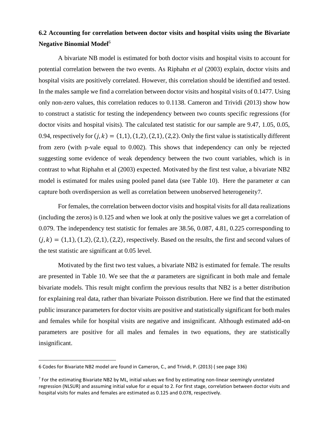## **6.2 Accounting for correlation between doctor visits and hospital visits using the Bivariate Negative Binomial Model**<sup>6</sup>

A bivariate NB model is estimated for both doctor visits and hospital visits to account for potential correlation between the two events. As Riphahn *et al* (2003) explain, doctor visits and hospital visits are positively correlated. However, this correlation should be identified and tested. In the males sample we find a correlation between doctor visits and hospital visits of 0.1477. Using only non-zero values, this correlation reduces to 0.1138. Cameron and Trividi (2013) show how to construct a statistic for testing the independency between two counts specific regressions (for doctor visits and hospital visits). The calculated test statistic for our sample are 9.47, 1.05, 0.05, 0.94, respectively for  $(j, k) = (1,1), (1,2), (2,1), (2,2)$ . Only the first value is statistically different from zero (with p-vale equal to 0.002). This shows that independency can only be rejected suggesting some evidence of weak dependency between the two count variables, which is in contrast to what Riphahn et al (2003) expected. Motivated by the first test value, a bivariate NB2 model is estimated for males using pooled panel data (see Table 10). Here the parameter  $\alpha$  can capture both overdispersion as well as correlation between unobserved heterogeneity7.

For females, the correlation between doctor visits and hospital visits for all data realizations (including the zeros) is 0.125 and when we look at only the positive values we get a correlation of 0.079. The independency test statistic for females are 38.56, 0.087, 4.81, 0.225 corresponding to  $(j, k) = (1, 1), (1, 2), (2, 1), (2, 2)$ , respectively. Based on the results, the first and second values of the test statistic are significant at 0.05 level.

Motivated by the first two test values, a bivariate NB2 is estimated for female. The results are presented in Table 10. We see that the  $\alpha$  parameters are significant in both male and female bivariate models. This result might confirm the previous results that NB2 is a better distribution for explaining real data, rather than bivariate Poisson distribution. Here we find that the estimated public insurance parameters for doctor visits are positive and statistically significant for both males and females while for hospital visits are negative and insignificant. Although estimated add-on parameters are positive for all males and females in two equations, they are statistically insignificant.

l

<sup>6</sup> Codes for Bivariate NB2 model are found in Cameron, C., and Trividi, P. (2013) ( see page 336)

<sup>&</sup>lt;sup>7</sup> For the estimating Bivariate NB2 by ML, initial values we find by estimating non-linear seemingly unrelated regression (NLSUR) and assuming initial value for  $\alpha$  equal to 2. For first stage, correlation between doctor visits and hospital visits for males and females are estimated as 0.125 and 0.078, respectively.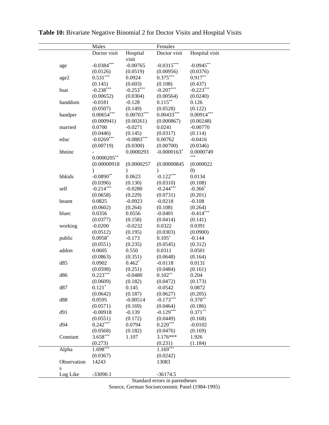|             | Males          |              | Females                   |                |
|-------------|----------------|--------------|---------------------------|----------------|
|             | Doctor visit   | Hospital     | Doctor visit              | Hospital visit |
|             |                | visit        |                           |                |
| age         | $-0.0384***$   | $-0.00765$   | $-0.0315***$              | $-0.0945**$    |
|             | (0.0126)       | (0.0519)     | (0.00956)                 | (0.0376)       |
| age2        | $0.531***$     | 0.0924       | $0.375***$                | $0.917**$      |
|             | (0.145)        | (0.603)      | (0.108)                   | (0.437)        |
| hsat        | $-0.238***$    | $-0.253***$  | $-0.207***$               | $-0.223***$    |
|             | (0.00652)      | (0.0304)     | (0.00564)                 | (0.0240)       |
| handdum     | $-0.0181$      | $-0.128$     | $0.115***$                | 0.126          |
|             | (0.0507)       | (0.149)      | (0.0528)                  | (0.122)        |
| handper     | $0.00654***$   | $0.00703***$ | $0.00433***$              | $0.00914***$   |
|             | (0.000941)     | (0.00261)    | (0.000867)                | (0.00248)      |
| married     | 0.0700         | $-0.0271$    | 0.0241                    | $-0.00770$     |
|             | (0.0446)       | (0.145)      | (0.0317)                  | (0.114)        |
| educ        | $-0.0269***$   | $-0.0883***$ | 0.00762                   | $-0.0416$      |
|             | (0.00719)      | (0.0300)     | (0.00700)                 | (0.0346)       |
| hhninc      |                | 0.0000293    | $-0.0000163$ <sup>*</sup> | 0.0000749      |
|             | $0.0000205***$ |              |                           | ***            |
|             | (0.00000918)   | (0.0000257)  | (0.00000845)              | (0.000022)     |
|             |                | $\lambda$    | $\mathcal{E}$             | (0)            |
| hhkids      | $-0.0890**$    | 0.0623       | $-0.122***$               | 0.0134         |
|             | (0.0396)       | (0.130)      | (0.0310)                  | (0.108)        |
| self        | $-0.214***$    | $-0.0280$    | $-0.244***$               | $-0.366*$      |
|             | (0.0658)       | (0.229)      | (0.0731)                  | (0.201)        |
| beamt       | 0.0825         | $-0.0923$    | $-0.0218$                 | $-0.108$       |
|             | (0.0602)       | (0.264)      | (0.108)                   | (0.264)        |
| bluec       | 0.0356         | 0.0556       | $-0.0401$                 | $-0.414***$    |
|             | (0.0377)       | (0.158)      | (0.0414)                  | (0.141)        |
| working     | $-0.0200$      | $-0.0232$    | 0.0322                    | 0.0391         |
|             | (0.0512)       | (0.195)      | (0.0303)                  | (0.0900)       |
| public      | $0.0958*$      | $-0.173$     | $0.105*$                  | $-0.144$       |
|             | (0.0551)       | (0.235)      | (0.0545)                  | (0.312)        |
| addon       | 0.0605         | 0.550        | 0.0311                    | 0.0501         |
|             | (0.0863)       | (0.351)      | (0.0648)                  | (0.164)        |
| d85         | 0.0902         | $0.462*$     | $-0.0118$                 | 0.0131         |
|             | (0.0598)       | (0.251)      | (0.0484)                  | (0.161)        |
| d86         | $0.223***$     | $-0.0480$    | $0.102**$                 | 0.204          |
|             | (0.0609)       | (0.182)      | (0.0472)                  | (0.173)        |
| d87         | $0.121*$       | 0.145        | $-0.0542$                 | 0.0872         |
|             | (0.0642)       | (0.187)      | (0.0627)                  | (0.205)        |
| d88         | 0.0595         | $-0.00514$   | $-0.173***$               | $0.370**$      |
|             | (0.0571)       | (0.169)      | (0.0464)                  | (0.186)        |
| d91         | $-0.00918$     | $-0.139$     | $-0.129***$               | $0.371***$     |
|             | (0.0551)       | (0.172)      | (0.0449)                  | (0.168)        |
| d94         | $0.242***$     | 0.0794       | $0.220***$                | $-0.0102$      |
|             | (0.0568)       | (0.182)      | (0.0476)                  | (0.169)        |
| Constant    | $3.658***$     | 1.107        | $3.176***$                | 1.926          |
|             | (0.273)        |              | (0.231)                   | (1.184)        |
| Alpha       | $1.698***$     |              | $1.169***$                |                |
|             | (0.0367)       |              | (0.0242)                  |                |
| Observation | 14243          |              | 13083                     |                |
| S           |                |              |                           |                |
| Log Like    | $-33090.1$     |              | $-36174.5$                |                |

**Table 10:** Bivariate Negative Binomial 2 for Doctor Visits and Hospital Visits

Standard errors in parentheses

Source, German Socioeconomic Panel (1984-1995)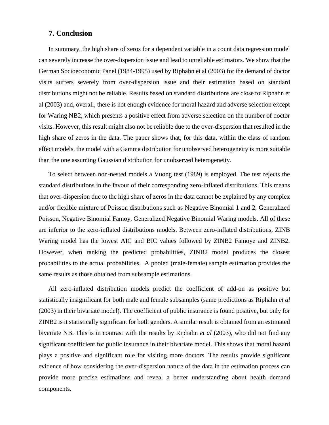#### **7. Conclusion**

In summary, the high share of zeros for a dependent variable in a count data regression model can severely increase the over-dispersion issue and lead to unreliable estimators. We show that the German Socioeconomic Panel (1984-1995) used by Riphahn et al (2003) for the demand of doctor visits suffers severely from over-dispersion issue and their estimation based on standard distributions might not be reliable. Results based on standard distributions are close to Riphahn et al (2003) and, overall, there is not enough evidence for moral hazard and adverse selection except for Waring NB2, which presents a positive effect from adverse selection on the number of doctor visits. However, this result might also not be reliable due to the over-dispersion that resulted in the high share of zeros in the data. The paper shows that, for this data, within the class of random effect models, the model with a Gamma distribution for unobserved heterogeneity is more suitable than the one assuming Gaussian distribution for unobserved heterogeneity.

To select between non-nested models a Vuong test (1989) is employed. The test rejects the standard distributions in the favour of their corresponding zero-inflated distributions. This means that over-dispersion due to the high share of zeros in the data cannot be explained by any complex and/or flexible mixture of Poisson distributions such as Negative Binomial 1 and 2, Generalized Poisson, Negative Binomial Famoy, Generalized Negative Binomial Waring models. All of these are inferior to the zero-inflated distributions models. Between zero-inflated distributions, ZINB Waring model has the lowest AIC and BIC values followed by ZINB2 Famoye and ZINB2. However, when ranking the predicted probabilities, ZINB2 model produces the closest probabilities to the actual probabilities. A pooled (male-female) sample estimation provides the same results as those obtained from subsample estimations.

All zero-inflated distribution models predict the coefficient of add-on as positive but statistically insignificant for both male and female subsamples (same predictions as Riphahn *et al* (2003) in their bivariate model). The coefficient of public insurance is found positive, but only for ZINB2 is it statistically significant for both genders. A similar result is obtained from an estimated bivariate NB. This is in contrast with the results by Riphahn *et al* (2003), who did not find any significant coefficient for public insurance in their bivariate model. This shows that moral hazard plays a positive and significant role for visiting more doctors. The results provide significant evidence of how considering the over-dispersion nature of the data in the estimation process can provide more precise estimations and reveal a better understanding about health demand components.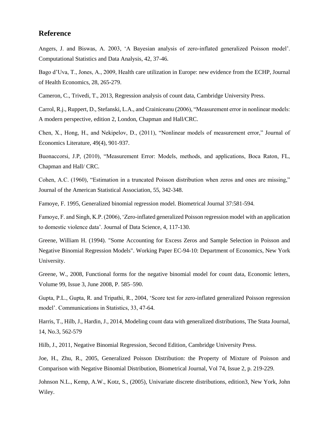#### **Reference**

Angers, J. and Biswas, A. 2003, 'A Bayesian analysis of zero-inflated generalized Poisson model'. Computational Statistics and Data Analysis, 42, 37-46.

Bago d'Uva, T., Jones, A., 2009, Health care utilization in Europe: new evidence from the ECHP, Journal of Health Economics, 28, 265-279.

Cameron, C., Trivedi, T., 2013, Regression analysis of count data, Cambridge University Press.

Carrol, R.j., Ruppert, D., Stefanski, L.A., and Crainiceanu (2006), "Measurement error in nonlinear models: A modern perspective, edition 2, London, Chapman and Hall/CRC.

Chen, X., Hong, H., and Nekipelov, D., (2011), "Nonlinear models of measurement error," Journal of Economics Literature, 49(4), 901-937.

Buonaccorsi, J.P, (2010), "Measurement Error: Models, methods, and applications, Boca Raton, FL, Chapman and Hall/ CRC.

Cohen, A.C. (1960), "Estimation in a truncated Poisson distribution when zeros and ones are missing," Journal of the American Statistical Association, 55, 342-348.

Famoye, F. 1995, Generalized binomial regression model. Biometrical Journal 37:581-594.

Famoye, F. and Singh, K.P. (2006), 'Zero-inflated generalized Poisson regression model with an application to domestic violence data'. Journal of Data Science, 4, 117-130.

Greene, William H. (1994). ["Some Accounting for Excess Zeros and Sample Selection in Poisson and](http://papers.ssrn.com/sol3/papers.cfm?abstract_id=1293115)  [Negative Binomial Regression Models".](http://papers.ssrn.com/sol3/papers.cfm?abstract_id=1293115) Working Paper EC-94-10: Department of Economics, New York University.

Greene, W., 2008, Functional forms for the negative binomial model for count data, Economic letters, [Volume 99, Issue 3,](http://www.sciencedirect.com/science/journal/01651765/99/3) June 2008, P. 585–590.

Gupta, P.L., Gupta, R. and Tripathi, R., 2004, 'Score test for zero-inflated generalized Poisson regression model'. Communications in Statistics, 33, 47-64.

Harris, T., Hilb, J., Hardin, J., 2014, Modeling count data with generalized distributions, The Stata Journal, 14, No.3, 562-579

Hilb, J., 2011, Negative Binomial Regression, Second Edition, Cambridge University Press.

Joe, H., Zhu, R., 2005, Generalized Poisson Distribution: the Property of Mixture of Poisson and Comparison with Negative Binomial Distribution, [Biometrical Journal,](http://onlinelibrary.wiley.com/journal/10.1002/(ISSN)1521-4036) Vol 74, Issue 2, p. 219-229.

Johnson N.L., Kemp, A.W., Kotz, S., (2005), Univariate discrete distributions, edition3, New York, John Wiley.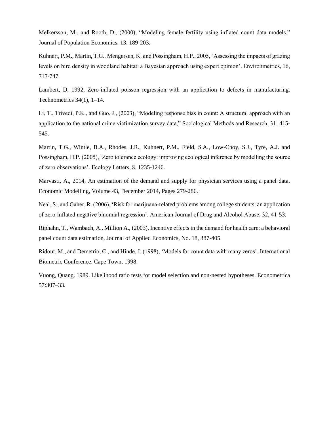Melkersson, M., and Rooth, D., (2000), "Modeling female fertility using inflated count data models," Journal of Population Economics, 13, 189-203.

Kuhnert, P.M., Martin, T.G., Mengersen, K. and Possingham, H.P., 2005, 'Assessing the impacts of grazing levels on bird density in woodland habitat: a Bayesian approach using expert opinion'. Environmetrics, 16, 717-747.

Lambert, D, 1992, Zero-inflated poisson regression with an application to defects in manufacturing. Technometrics 34(1), 1–14.

Li, T., Trivedi, P.K., and Guo, J., (2003), "Modeling response bias in count: A structural approach with an application to the national crime victimization survey data," Sociological Methods and Research, 31, 415- 545.

Martin, T.G., Wintle, B.A., Rhodes, J.R., Kuhnert, P.M., Field, S.A., Low-Choy, S.J., Tyre, A.J. and Possingham, H.P. (2005), 'Zero tolerance ecology: improving ecological inference by modelling the source of zero observations'. Ecology Letters, 8, 1235-1246.

Marvasti, A., 2014, An estimation of the demand and supply for physician services using a panel data, Economic Modelling, Volume 43, December 2014, Pages 279-286.

Neal, S., and Gaher, R. (2006), 'Risk for marijuana-related problems among college students: an application of zero-inflated negative binomial regression'. American Journal of Drug and Alcohol Abuse, 32, 41-53.

Riphahn, T., Wambach, A., Million A., (2003), Incentive effects in the demand for health care: a behavioral panel count data estimation, Journal of Applied Economics, No. 18, 387-405.

Ridout, M., and Demetrio, C., and Hinde, J. (1998), 'Models for count data with many zeros'. International Biometric Conference. Cape Town, 1998.

Vuong, Quang. 1989. Likelihood ratio tests for model selection and non-nested hypotheses. Econometrica 57:307–33.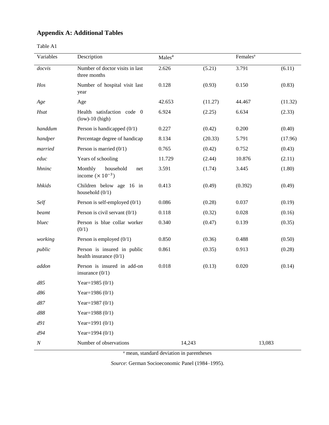## **Appendix A: Additional Tables**

| abie |  |
|------|--|
|------|--|

| Variables | Description                                              | Males <sup>a</sup> |         | Females <sup>a</sup> |         |
|-----------|----------------------------------------------------------|--------------------|---------|----------------------|---------|
| docvis    | Number of doctor visits in last<br>three months          | 2.626              | (5.21)  | 3.791                | (6.11)  |
| Hos       | Number of hospital visit last<br>year                    | 0.128              | (0.93)  | 0.150                | (0.83)  |
| Age       | Age                                                      | 42.653             | (11.27) | 44.467               | (11.32) |
| Hsat      | Health satisfaction code 0<br>$(low)-10$ (high)          | 6.924              | (2.25)  | 6.634                | (2.33)  |
| handdum   | Person is handicapped $(0/1)$                            | 0.227              | (0.42)  | 0.200                | (0.40)  |
| handper   | Percentage degree of handicap                            | 8.134              | (20.33) | 5.791                | (17.96) |
| married   | Person is married $(0/1)$                                | 0.765              | (0.42)  | 0.752                | (0.43)  |
| educ      | Years of schooling                                       | 11.729             | (2.44)  | 10.876               | (2.11)  |
| hhninc    | Monthly<br>household<br>net<br>income $(\times 10^{-3})$ | 3.591              | (1.74)  | 3.445                | (1.80)  |
| hhkids    | Children below age 16 in<br>household $(0/1)$            | 0.413              | (0.49)  | (0.392)              | (0.49)  |
| Self      | Person is self-employed $(0/1)$                          | 0.086              | (0.28)  | 0.037                | (0.19)  |
| beamt     | Person is civil servant $(0/1)$                          | 0.118              | (0.32)  | 0.028                | (0.16)  |
| bluec     | Person is blue collar worker<br>(0/1)                    | 0.340              | (0.47)  | 0.139                | (0.35)  |
| working   | Person is employed $(0/1)$                               | 0.850              | (0.36)  | 0.488                | (0.50)  |
| public    | Person is insured in public<br>health insurance $(0/1)$  | 0.861              | (0.35)  | 0.913                | (0.28)  |
| addon     | Person is insured in add-on<br>insurance $(0/1)$         | 0.018              | (0.13)  | 0.020                | (0.14)  |
| d85       | Year= $1985(0/1)$                                        |                    |         |                      |         |
| d86       | Year=1986 (0/1)                                          |                    |         |                      |         |
| d87       | Year= $1987(0/1)$                                        |                    |         |                      |         |
| d88       | Year= $1988(0/1)$                                        |                    |         |                      |         |
| d91       | Year=1991 $(0/1)$                                        |                    |         |                      |         |
| d94       | Year=1994 (0/1)                                          |                    |         |                      |         |
| $\cal N$  | Number of observations                                   | 14,243             |         | 13,083               |         |

<sup>a</sup> mean, standard deviation in parentheses

*Source*: German Socioeconomic Panel (1984–1995).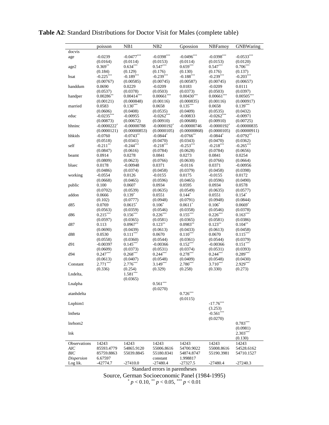|                   | poisson                   | NB1           | NB <sub>2</sub>           | Gpossion      | NBFamoy                   | GNBWaring     |
|-------------------|---------------------------|---------------|---------------------------|---------------|---------------------------|---------------|
| docvis            |                           |               |                           |               |                           |               |
| age               | $-0.0239$                 | $-0.0477***$  | $-0.0398***$              | $-0.0496***$  | $-0.0398***$              | $-0.0533***$  |
|                   | (0.0164)                  | (0.0114)      | (0.0153)                  | (0.0114)      | (0.0153)                  | (0.0120)      |
| age2              | $0.369**$                 | $0.634***$    | $0.547***$                | $0.659***$    | $0.547***$                | $0.706***$    |
|                   | (0.184)                   | (0.129)       | (0.176)                   | (0.130)       | (0.176)                   | (0.137)       |
| hsat              | $-0.225***$               | $-0.189***$   | $-0.239***$               | $-0.188***$   | $-0.239***$               | $-0.203***$   |
|                   | (0.00767)                 | (0.00585)     | (0.00745)                 | (0.00587)     | (0.00745)                 | (0.00657)     |
| handdum           | 0.0690                    | 0.0229        | $-0.0209$                 | 0.0183        | $-0.0209$                 | 0.0111        |
|                   | (0.0537)                  | (0.0378)      | (0.0503)                  | (0.0373)      | (0.0503)                  | (0.0397)      |
| handper           | $0.00286**$               | $0.00414***$  | $0.00661***$              | $0.00430***$  | $0.00661***$              | $0.00505***$  |
|                   | (0.00121)                 | (0.000848)    | (0.00116)                 | (0.000835)    | (0.00116)                 | (0.000917)    |
| married           | 0.0583                    | $0.130***$    | 0.0658                    | $0.135***$    | 0.0658                    | $0.139***$    |
|                   | (0.0606)                  | (0.0408)      | (0.0535)                  | (0.0409)      | (0.0535)                  | (0.0432)      |
| educ              | $-0.0235***$              | $-0.00955$    | $-0.0262***$              | $-0.00833$    | $-0.0262***$              | $-0.00971$    |
|                   | (0.00873)                 | (0.00672)     | (0.00910)                 | (0.00688)     | (0.00910)                 | (0.00725)     |
| hhninc            | $-0.0000222$ <sup>*</sup> | $-0.00000788$ | $-0.0000192$ <sup>*</sup> | $-0.00000746$ | $-0.0000192$ <sup>*</sup> | $-0.00000835$ |
|                   | (0.0000121)               | (0.00000853)  | (0.0000105)               | (0.00000868)  | (0.0000105)               | (0.00000911)  |
|                   |                           |               |                           |               |                           |               |
| hhkids            | $-0.0760$                 | $-0.0743**$   | $-0.0844*$                | $-0.0766$ **  | $-0.0844*$                | $-0.0792**$   |
|                   | (0.0518)                  | (0.0341)      | (0.0470)                  | (0.0343)      | (0.0470)                  | (0.0362)      |
| self              | $-0.211$ **               | $-0.244***$   | $-0.218***$               | $-0.253***$   | $-0.218***$               | $-0.265***$   |
|                   | (0.0847)                  | (0.0616)      | (0.0784)                  | (0.0628)      | (0.0784)                  | (0.0656)      |
| beamt             | 0.0914                    | 0.0278        | 0.0841                    | 0.0273        | 0.0841                    | 0.0254        |
|                   | (0.0809)                  | (0.0623)      | (0.0766)                  | (0.0630)      | (0.0766)                  | (0.0664)      |
| bluec             | 0.0178                    | $-0.00948$    | 0.0371                    | $-0.0116$     | 0.0371                    | $-0.00956$    |
|                   | (0.0486)                  | (0.0374)      | (0.0458)                  | (0.0379)      | (0.0458)                  | (0.0398)      |
| working           | $-0.0554$                 | 0.0126        | $-0.0155$                 | 0.0175        | $-0.0155$                 | 0.0172        |
|                   | (0.0668)                  | (0.0465)      | (0.0596)                  | (0.0465)      | (0.0596)                  | (0.0490)      |
| public            | 0.100                     | 0.0607        | 0.0934                    | 0.0595        | 0.0934                    | 0.0578        |
|                   | (0.0702)                  | (0.0539)      | (0.0635)                  | (0.0549)      | (0.0635)                  | (0.0577)      |
| addon             | 0.0666                    | $0.139*$      | 0.0551                    | $0.144*$      | 0.0551                    | $0.154*$      |
|                   | (0.102)                   | (0.0777)      | (0.0948)                  | (0.0791)      | (0.0948)                  | (0.0844)      |
| d85               | 0.0769                    | $0.0615*$     | $0.106*$                  | $0.0611*$     | $0.106*$                  | $0.0669*$     |
|                   | (0.0563)                  | (0.0359)      | (0.0546)                  | (0.0358)      | (0.0546)                  | (0.0378)      |
| d86               | $0.215***$                | $0.156***$    | $0.226***$                | $0.155***$    | $0.226***$                | $0.163***$    |
|                   | (0.0597)                  | (0.0365)      | (0.0581)                  | (0.0365)      | (0.0581)                  | (0.0386)      |
| d87               | 0.113                     | $0.0967**$    | $0.123**$                 | $0.0983**$    | $0.123***$                | $0.104**$     |
|                   | (0.0690)                  | (0.0439)      | (0.0613)                  | (0.0433)      | (0.0613)                  | (0.0458)      |
|                   |                           | $0.111***$    |                           | $0.110***$    |                           |               |
| d88               | 0.0530                    |               | 0.0670                    |               | 0.0670                    | $0.115***$    |
|                   | (0.0558)                  | (0.0360)      | (0.0544)                  | (0.0361)      | (0.0544)                  | (0.0379)      |
| d91               | $-0.00397$                | $0.145***$    | $-0.00366$                | $0.152***$    | $-0.00366$                | $0.151***$    |
|                   | (0.0609)                  | (0.0373)      | (0.0531)                  | (0.0374)      | (0.0531)                  | (0.0393)      |
| d94               | $0.247***$                | $0.268***$    | $0.244***$                | $0.278***$    | $0.244***$                | $0.289***$    |
|                   | (0.0613)                  | (0.0407)      | (0.0548)                  | (0.0409)      | (0.0548)                  | (0.0430)      |
| Constant          | $2.771***$                | $2.776***$    | $3.149***$                | 2.780***      | 3.710***                  | 2.929***      |
|                   | (0.336)                   | (0.254)       | (0.329)                   | (0.258)       | (0.330)                   | (0.273)       |
| Lndelta,          |                           | $1.581***$    |                           |               |                           |               |
|                   |                           | (0.0365)      |                           |               |                           |               |
| Lnalpha           |                           |               | $0.561***$                |               |                           |               |
|                   |                           |               | (0.0270)                  |               |                           |               |
| atanhdelta        |                           |               |                           | $0.726***$    |                           |               |
|                   |                           |               |                           | (0.0115)      |                           |               |
| Lnphim1           |                           |               |                           |               | $-17.76***$               |               |
|                   |                           |               |                           |               | (3.253)                   |               |
| lntheta           |                           |               |                           |               | $-0.561***$               |               |
|                   |                           |               |                           |               |                           |               |
|                   |                           |               |                           |               | (0.0270)                  |               |
| lnrhom2           |                           |               |                           |               |                           | $0.783***$    |
|                   |                           |               |                           |               |                           | (0.0981)      |
| lnk               |                           |               |                           |               |                           | $2.303***$    |
|                   |                           |               |                           |               |                           | (0.130)       |
| Observations      | 14243                     | 14243         | 14243                     | 14243         | 14243                     | 14243         |
| <b>AIC</b>        | 85593.4779                | 54865.9120    | 55006.8616                | 54700.9022    | 55008.8616                | 54528.6162    |
| BIC               | 85759.8863                | 55039.8845    | 55180.8341                | 54874.8747    | 55190.3981                | 54710.1527    |
| <b>Dispersion</b> | 6.67597                   |               | constant                  | 1.998817      |                           |               |
| Log lik.          | $-42774.7$                | $-27410.0$    | -27480.4                  | -27327.5      | $-27480.4$                | $-27240.3$    |

## **Table A2**: Standard Distributions for Doctor Visit for Males (complete table)

Standard errors in parentheses

Source, German Socioeconomic Panel (1984-1995)

\* *p* < 0.10, \*\* *p* < 0.05, \*\*\* *p* < 0.01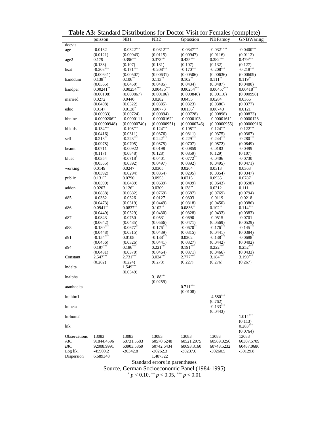|              | poisson         | NB1                    | N <sub>B</sub> 2               | Gpossion     | <b>NBFamov</b> | GNBWaring    |
|--------------|-----------------|------------------------|--------------------------------|--------------|----------------|--------------|
| docvis       |                 |                        |                                |              |                |              |
| age          | $-0.0132$       | $-0.0322***$           | $-0.0312***$                   | $-0.0347***$ | $-0.0321***$   | $-0.0400***$ |
|              | (0.0121)        | (0.00943)              | (0.0115)                       | (0.00947)    | (0.0116)       | (0.0112)     |
| age2         | 0.179           | $0.396***$             | $0.373***$                     | $0.425***$   | $0.382***$     | $0.479***$   |
|              | (0.138)         | (0.107)                | (0.131)                        | (0.107)      | (0.132)        | (0.127)      |
| hsat         | $-0.203***$     | $-0.171***$            | $-0.208***$                    | $-0.170***$  | $-0.208***$    | $-0.218***$  |
|              | (0.00641)       | (0.00507)              | (0.00631)                      | (0.00506)    | (0.00636)      | (0.00609)    |
| handdum      | $0.138***$      | $0.106**$              | $0.113***$                     | $0.102**$    | $0.111***$     | $0.119***$   |
|              | (0.0565)        | (0.0450)               | (0.0485)                       | (0.0434)     | (0.0487)       | (0.0480)     |
| handper      | $0.00241**$     | $0.00254***$           | $0.00436***$                   | $0.00254***$ | $0.00457***$   | $0.00418***$ |
|              | (0.00108)       | (0.000867)             | (0.00106)                      | (0.000846)   | (0.00110)      | (0.000998)   |
| married      | 0.0272          | 0.0440                 | 0.0282                         | 0.0455       | 0.0284         | 0.0366       |
|              | (0.0408)        | (0.0322)               | (0.0385)                       | (0.0323)     | (0.0386)       | (0.0377)     |
| educ         | 0.0147          | $0.0138*$              | 0.00773                        | $0.0136*$    | 0.00740        | 0.0121       |
|              | (0.00933)       | (0.00724)              | (0.00894)                      | (0.00728)    | (0.00898)      | (0.00873)    |
| hhninc       | $-0.0000206$ ** | $-0.0000111$           | $-0.0000162$ <sup>*</sup>      | $-0.0000103$ | $-0.0000161$ * | $-0.0000128$ |
|              | (0.00000948)    | (0.00000740)           | (0.00000951)                   | (0.00000746) | (0.00000955)   | (0.00000916) |
| hhkids       | $-0.134***$     | $-0.108***$            | $-0.124***$                    | $-0.108***$  | $-0.124***$    | $-0.122***$  |
|              | (0.0416)        | (0.0311)               | (0.0376)                       | (0.0311)     | (0.0375)       | (0.0367)     |
| self         | $-0.218***$     | $-0.223***$            | $-0.242***$                    | $-0.229***$  | $-0.244***$    | $-0.280***$  |
|              | (0.0978)        | (0.0705)               | (0.0875)                       | (0.0707)     | (0.0872)       | (0.0849)     |
| beamt        | $-0.0711$       | $-0.00922$             | $-0.0198$                      | $-0.00859$   | $-0.0183$      | $-0.0499$    |
|              | (0.117)         | (0.0848)               | (0.128)                        | (0.0859)     | (0.129)        | (0.107)      |
| bluec        | $-0.0354$       | $-0.0718$ <sup>*</sup> | $-0.0401$                      | $-0.0772**$  | $-0.0406$      | $-0.0730$    |
|              | (0.0555)        | (0.0392)               | (0.0497)                       | (0.0392)     | (0.0495)       | (0.0471)     |
| working      | 0.0149          | 0.0247                 | 0.0305                         | 0.0264       | 0.0313         | 0.0363       |
|              | (0.0392)        | (0.0294)               | (0.0354)                       | (0.0295)     | (0.0354)       | (0.0347)     |
| public       | $0.131***$      | 0.0790                 | 0.0953                         | 0.0715       | 0.0935         | 0.0787       |
|              | (0.0599)        | (0.0489)               | (0.0639)                       | (0.0499)     | (0.0643)       | (0.0598)     |
| addon        | 0.0207          | $0.126*$               | 0.0309                         | $0.138***$   | 0.0312         | 0.111        |
|              | (0.0888)        | (0.0682)               | (0.0769)                       | (0.0687)     | (0.0769)       | (0.0794)     |
| d85          | $-0.0362$       | $-0.0326$              | $-0.0127$                      | $-0.0303$    | $-0.0119$      | $-0.0218$    |
|              | (0.0473)        | (0.0319)               | (0.0449)                       | (0.0318)     | (0.0450)       | (0.0386)     |
| d86          | $0.0941**$      | $0.0837**$             | $0.102**$                      | $0.0836**$   | $0.102**$      | $0.114***$   |
|              | (0.0449)        | (0.0329)               | (0.0430)                       | (0.0328)     | (0.0433)       | (0.0383)     |
| d87          | $-0.0843$       | $-0.0750$              | $-0.0531$                      | $-0.0690$    | $-0.0515$      | $-0.0701$    |
|              | (0.0642)        | (0.0485)               | (0.0566)                       | (0.0471)     | (0.0569)       | (0.0529)     |
| d88          | $-0.180***$     | $-0.0677**$            | $-0.176***$                    | $-0.0670**$  | $-0.176***$    | $-0.145***$  |
|              | (0.0448)        | (0.0315)               | (0.0439)                       | (0.0315)     | (0.0441)       | (0.0384)     |
| d91          | $-0.154***$     | 0.0108                 | $-0.138***$                    | 0.0202       | $-0.138***$    | $-0.0688*$   |
|              | (0.0456)        | (0.0326)               | (0.0441)                       | (0.0327)     | (0.0442)       | (0.0402)     |
| d94          | $0.197***$      | $0.186***$             | $0.221***$                     | $0.191***$   | $0.222***$     | $0.252***$   |
|              | (0.0481)        | (0.0370)               | (0.0464)                       | (0.0371)     | (0.0466)       | (0.0433)     |
| Constant     | 2.547***        | $2.731***$             | $3.024***$                     | $2.777***$   | 3.184***       | $3.190***$   |
|              | (0.282)         | (0.224)                | (0.273)                        | (0.227)      | (0.276)        | (0.267)      |
| lndelta      |                 | $1.549***$             |                                |              |                |              |
|              |                 | (0.0349)               |                                |              |                |              |
| lnalpha      |                 |                        | $0.188***$                     |              |                |              |
|              |                 |                        | (0.0259)                       |              |                |              |
| atanhdelta   |                 |                        |                                | $0.711***$   |                |              |
|              |                 |                        |                                | (0.0108)     |                |              |
| lnphim1      |                 |                        |                                |              | $-4.580***$    |              |
|              |                 |                        |                                |              | (0.762)        |              |
| lntheta      |                 |                        |                                |              | $-0.133***$    |              |
|              |                 |                        |                                |              | (0.0443)       |              |
| lnrhom2      |                 |                        |                                |              |                | $1.014***$   |
|              |                 |                        |                                |              |                | (0.113)      |
| lnk          |                 |                        |                                |              |                | $0.283***$   |
|              |                 |                        |                                |              |                | (0.0764)     |
| Observations | 13083           | 13083                  | 13083                          | 13083        | 13083          | 13083        |
| AIC          | 91844.4596      | 60731.5683             | 60570.6248                     | 60521.2975   | 60569.0256     | 60307.5709   |
| <b>BIC</b>   | 92008.9991      | 60903.5869             | 60742.6434                     | 60693.3160   | 60748.5232     | 60487.0686   |
| Log lik.     | -45900.2        | $-30342.8$             | $-30262.3$                     | $-30237.6$   | $-30260.5$     | $-30129.8$   |
| Dispersion   | 6.689348        |                        | 1.487322                       |              |                |              |
|              |                 |                        | Standard errors in parentheses |              |                |              |

**Table A3:** Standard Distributions for Doctor Visit for Females (complete)

Source, German Socioeconomic Panel (1984-1995) \* *p* < 0.10, \*\* *p* < 0.05, \*\*\* *p* < 0.01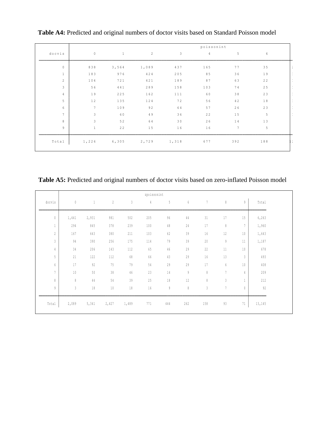|                 | poissonint      |              |                |              |                |                 |                 |  |
|-----------------|-----------------|--------------|----------------|--------------|----------------|-----------------|-----------------|--|
| docvis          | $\mathbb O$     | $\mathbf{1}$ | $\overline{c}$ | $\mathbf{3}$ | $\overline{4}$ | 5               | $6\overline{6}$ |  |
| $\mathbb O$     | 838             | 3,564        | 1,089          | 437          | 165            | 77              | 35              |  |
| $\mathbf{1}$    | 183             | 976          | 424            | 205          | 85             | 36              | 19              |  |
| $\overline{2}$  | 104             | 721          | 421            | 189          | 87             | 63              | 22              |  |
| 3               | 56              | 441          | 289            | 158          | 103            | 74              | 25              |  |
| 4               | 19              | 225          | 162            | 111          | 60             | 38              | 23              |  |
| 5 <sup>5</sup>  | 12              | 135          | 124            | 72           | 56             | 42              | 18              |  |
| 6               | $7\phantom{.0}$ | 109          | 92             | 64           | 57             | 26              | 23              |  |
| $7\overline{ }$ | $\mathbf{3}$    | 60           | $4\,$ $9\,$    | 36           | 22             | 15              | 5               |  |
| 8               | $\mathbf{3}$    | 52           | 64             | 30           | 26             | 14              | 13              |  |
| 9               | $\mathbf{1}$    | 22           | $1\,5$         | 16           | 16             | $7\phantom{.0}$ | 5               |  |
| Total           | 1,226           | 6,305        | 2,729          | 1,318        | 677            | 392             | 188             |  |

**Table A4:** Predicted and original numbers of doctor visits based on Standard Poisson model

**Table A5:** Predicted and original numbers of doctor visits based on zero-inflated Poisson model

| zpoissonint    |             |              |                |        |               |        |        |                          |                |                |        |
|----------------|-------------|--------------|----------------|--------|---------------|--------|--------|--------------------------|----------------|----------------|--------|
| docvis         | $\mathbb O$ | $\mathbf{1}$ | $\overline{c}$ | 3      | $\frac{4}{3}$ | 5      | $6\,$  | $\overline{\phantom{a}}$ | $\,$ 8 $\,$    | 9              | Total  |
|                |             |              |                |        |               |        |        |                          |                |                |        |
| $\mathbb O$    | 1,441       | 2,931        | 981            | 502    | 205           | $96\,$ | $4\,4$ | 31                       | $17\,$         | 15             | 6, 263 |
| $\mathbf{1}$   | 294         | $8\,4\,5$    | 378            | 239    | $100$         | $4\,8$ | $2\,4$ | $17\,$                   | $\,$ 8 $\,$    | $\overline{7}$ | 1,960  |
| $\overline{c}$ | 167         | 643          | 380            | 211    | 103           | 62     | 39     | 16                       | 12             | $10\,$         | 1,643  |
| 3              | 94          | 390          | 256            | 175    | 114           | 79     | 39     | 20                       | 9              | 11             | 1,187  |
| 4              | 34          | 206          | 143            | 112    | 65            | 46     | 29     | 22                       | $11\,$         | $1\,0$         | 678    |
| 5              | 21          | 122          | 112            | $6\,8$ | 66            | 43     | 29     | 16                       | 13             | 3              | 493    |
| 6              | 17          | 92           | 75             | 79     | $54\,$        | 29     | 29     | 17                       | 6              | $10\,$         | $408$  |
| $\overline{7}$ | $10$        | $50\,$       | $3\,8$         | $4\,6$ | 23            | 14     | 9      | $\,$ 8                   | $\overline{7}$ | 4              | 209    |
| 8              | 8           | 44           | $5\,4$         | 39     | 25            | 18     | 12     | $\,$ 8 $\,$              | 3              | $\mathbf{1}$   | 212    |
| 9              | 3           | $1\,8$       | $10\,$         | $1\,8$ | $16\,$        | 9      | 8      | 3                        | $\overline{7}$ | 0              | 92     |
|                |             |              |                |        |               |        |        |                          |                |                |        |
| Total          | 2,089       | 5,341        | 2,427          | 1,489  | 771           | 444    | 262    | 158                      | 93             | 71             | 13,145 |
|                |             |              |                |        |               |        |        |                          |                |                |        |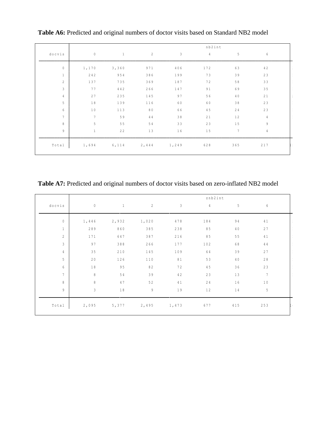|                 | nb2int          |              |                |       |                |                |                 |               |
|-----------------|-----------------|--------------|----------------|-------|----------------|----------------|-----------------|---------------|
| docvis          | $\mathbb O$     | $\mathbf{1}$ | $\overline{c}$ | 3     | $\overline{4}$ | 5 <sub>5</sub> | $6\overline{6}$ |               |
| $\mathbb O$     | 1,170           | 3, 360       | 971            | 406   | 172            | 63             | $4\;2$          |               |
| $\mathbf{1}$    | 242             | 954          | 386            | 199   | 73             | 39             | 23              |               |
| $\overline{c}$  | 137             | 735          | 369            | 187   | 72             | 58             | 33              |               |
| $\mathbf{3}$    | 77              | 442          | 266            | 147   | 91             | 69             | $3\,5$          |               |
| $\overline{4}$  | 27              | 235          | 145            | 97    | 56             | 40             | $2\,1$          | $\mathcal{L}$ |
| 5               | $1\,8$          | 139          | 116            | 60    | 60             | 38             | 23              |               |
| $6\,$           | $1\;0$          | 113          | $8\,0$         | 66    | 45             | 24             | 23              |               |
| $7\phantom{.0}$ | $7\phantom{.0}$ | 59           | 44             | 38    | 21             | 12             | $\overline{4}$  |               |
| 8               | $\sqrt{5}$      | $5\,5$       | 54             | 33    | 23             | $1\,5$         | 9               |               |
| 9               | $\mathbf{1}$    | $2\;2$       | 13             | 16    | $1\,5$         | 7              | $\overline{4}$  |               |
| Total           | 1,694           | 6, 114       | 2,444          | 1,249 | 628            | $3\;6\;5$      | $2\;1\;7$       |               |

**Table A6:** Predicted and original numbers of doctor visits based on Standard NB2 model

**Table A7:** Predicted and original numbers of doctor visits based on zero-inflated NB2 model

|                | znb2int        |              |                |                |                |                |                 |  |
|----------------|----------------|--------------|----------------|----------------|----------------|----------------|-----------------|--|
| docvis         | $\mathbb O$    | $\mathbf{1}$ | $\overline{2}$ | $\mathfrak{Z}$ | $\overline{4}$ | 5 <sub>5</sub> | 6               |  |
| $\circ$        | 1,446          | 2,932        | 1,020          | 478            | 184            | 94             | $4\;1$          |  |
| $\mathbf{1}$   | 289            | 860          | 385            | 238            | 85             | 40             | 27              |  |
| $\mathbf{2}$   | 171            | 647          | 387            | 216            | 85             | $5\,5$         | 41              |  |
| $\mathfrak{Z}$ | 97             | 388          | 266            | 177            | 102            | 68             | 44              |  |
| $\overline{4}$ | $3\,5$         | 210          | 145            | 109            | 64             | 39             | 27              |  |
| 5              | $2\,0$         | 126          | 110            | 81             | 53             | 40             | 28              |  |
| 6              | $1\;8$         | 95           | 82             | 72             | $4\,5$         | 36             | 23              |  |
| 7              | $\, 8$         | 54           | 39             | $4\,2$         | 23             | 13             | $7\phantom{.0}$ |  |
| 8              | $\,8\,$        | 47           | 52             | $4\;1$         | 24             | 16             | $1\;0$          |  |
| 9              | $\mathfrak{Z}$ | $1\;8$       | 9              | 19             | 12             | 14             | 5               |  |
| Total          | 2,095          | 5,377        | 2,495          | 1,473          | 677            | 415            | 253             |  |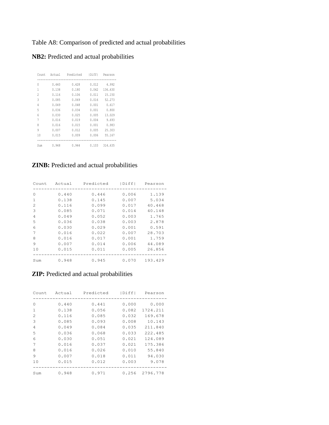## Table A8: Comparison of predicted and actual probabilities

## **NB2:** Predicted and actual probabilities

| Count                    | Actual | Predicted | IDiffI | Pearson |
|--------------------------|--------|-----------|--------|---------|
| 0                        | 0.440  | 0.428     | 0.012  | 4.992   |
| 1                        | 0.138  | 0.180     | 0.042  | 136.630 |
| $\overline{\mathcal{L}}$ | 0.116  | 0.106     | 0.011  | 15.150  |
| 3                        | 0.085  | 0.069     | 0.016  | 52.273  |
| 4                        | 0.049  | 0.048     | 0.001  | 0.617   |
| 5                        | 0.036  | 0.034     | 0.001  | 0.800   |
| 6                        | 0.030  | 0.025     | 0.005  | 13.029  |
| 7                        | 0.016  | 0.019     | 0.004  | 9.693   |
| 8                        | 0.016  | 0.015     | 0.001  | 0.983   |
| 9                        | 0.007  | 0.012     | 0.005  | 25.303  |
| 10                       | 0.015  | 0.009     | 0.006  | 55.167  |
| Sum                      | 0.948  | 0.944     | 0.103  | 314.635 |

## **ZINB:** Predicted and actual probabilities

| Count    | Actual | Predicted | Diff  | Pearson |
|----------|--------|-----------|-------|---------|
| $\Omega$ | 0.440  | 0.446     | 0.006 | 1.139   |
| 1        | 0.138  | 0.145     | 0.007 | 5.034   |
| 2        | 0.116  | 0.099     | 0.017 | 40.468  |
| 3        | 0.085  | 0.071     | 0.014 | 40.148  |
| 4        | 0.049  | 0.052     | 0.003 | 1.765   |
| 5        | 0.036  | 0.038     | 0.003 | 2.878   |
| 6        | 0.030  | 0.029     | 0.001 | 0.591   |
| 7        | 0.016  | 0.022     | 0.007 | 28.703  |
| 8        | 0.016  | 0.017     | 0.001 | 1.759   |
| 9        | 0.007  | 0.014     | 0.006 | 44.089  |
| 10       | 0.015  | 0.011     | 0.005 | 26.856  |
| Sum      | 0.948  | 0.945     | 0.070 | 193.429 |

## **ZIP:** Predicted and actual probabilities

| Count                                                                                                                                                           | Actual | Predicted | Diff  | Pearson  |
|-----------------------------------------------------------------------------------------------------------------------------------------------------------------|--------|-----------|-------|----------|
| $\Omega$                                                                                                                                                        | 0.440  | 0.441     | 0.000 | 0.000    |
| $\mathbf{1}$                                                                                                                                                    | 0.138  | 0.056     | 0.082 | 1724.211 |
| $\mathcal{D}_{\mathcal{L}}^{\mathcal{L}}(\mathcal{L})=\mathcal{D}_{\mathcal{L}}^{\mathcal{L}}(\mathcal{L})\mathcal{D}_{\mathcal{L}}^{\mathcal{L}}(\mathcal{L})$ | 0.116  | 0.085     | 0.032 | 169.678  |
| 3                                                                                                                                                               | 0.085  | 0.093     | 0.008 | 10.143   |
| 4                                                                                                                                                               | 0.049  | 0.084     | 0.035 | 211.840  |
| .5                                                                                                                                                              | 0.036  | 0.068     | 0.033 | 222.485  |
| 6                                                                                                                                                               | 0.030  | 0.051     | 0.021 | 124.089  |
| 7                                                                                                                                                               | 0.016  | 0.037     | 0.021 | 175.386  |
| 8                                                                                                                                                               | 0.016  | 0.026     | 0.010 | 55.840   |
| 9                                                                                                                                                               | 0.007  | 0.018     | 0.011 | 94.030   |
| 10                                                                                                                                                              | 0.015  | 0.012     | 0.003 | 9.078    |
| Sum                                                                                                                                                             | 0.948  | 0.971     | 0.256 | 2796.778 |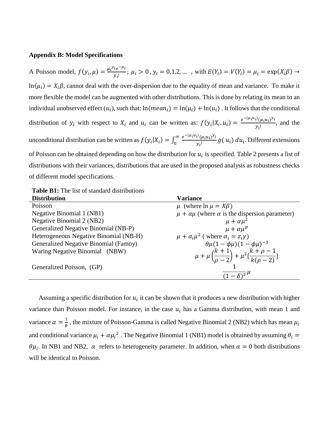#### **Appendix B: Model Specifications**

A Poisson model,  $f(y_i, \mu) = \frac{\mu_i y_i e^{-\mu_i}}{y_i}$  $\frac{\partial}{\partial y_i}$ ;  $\mu_i > 0$ ,  $y_i = 0, 1, 2, ...$ , with  $E(Y_i) = V(Y_i) = \mu_i = \exp(X_i \beta) \rightarrow$  $ln(\mu_i) = X_i \beta$ , cannot deal with the over-dispersion due to the equality of mean and variance. To make it more flexible the model can be augmented with other distributions. This is done by relating its mean to an individual unobserved effect  $(u_i)$ , such that:  $ln(mean_i) = ln(\mu_i) + ln(u_i)$ . It follows that the conditional distribution of  $y_i$  with respect to  $X_i$  and  $u_i$  can be written as:  $f(y_i|X_i, u_i) = \frac{e^{-(\mu_i u_i)}(\mu_i u_i)^{y_i}}{v_i!}$  $\frac{\partial u_i(u_i)^{i-1}}{\partial u_i}$ , and the unconditional distribution can be written as  $f(y_i|X_i) = \int_0^\infty \frac{e^{-(\mu_i u_i)}(\mu_i u_i)^{y_i}}{y_i!}$  $\int_0^\infty \frac{e^{-(\mu_i u_i)}(\mu_i u_i)^{y_i}}{y_i!}g(x)$  $\frac{1}{\omega} \frac{\partial u_i}{\partial y_i} e^{i \omega_i \omega_i} g(u_i) du_i$ . Different extensions of Poisson can be obtained depending on how the distribution for  $u_i$  is specified. Table 2 presents a list of distributions with their variances, distributions that are used in the proposed analysis as robustness checks of different model specifications.

**Table B1:** The list of standard distributions

| <b>Distribution</b>                    | <b>Variance</b>                                                                                       |
|----------------------------------------|-------------------------------------------------------------------------------------------------------|
| Poisson                                | $\mu$ (where $\ln \mu = X\beta$ )                                                                     |
| Negative Binomial 1 (NB1)              | $\mu + \alpha \mu$ (where $\alpha$ is the dispersion parameter)                                       |
| Negative Binomial 2 (NB2)              | $\mu + \alpha \mu^2$                                                                                  |
| Generalized Negative Binomial (NB-P)   | $\mu + \alpha \mu^p$                                                                                  |
| Heterogeneous Negative Binomial (NB-H) | $\mu + \alpha_i \mu^2$ (where $\alpha_i = z_i \gamma$ )                                               |
| Generalized Negative Binomial (Famoy)  | $\theta \mu (1 - \phi \mu) (1 - \phi \mu)^{-3}$                                                       |
| Waring Negative Binomial (NBW)         | $\mu + \mu \left( \frac{k+1}{\rho - 2} \right) + \mu^2 \left\{ \frac{k+\rho-1}{k(\rho - 2)} \right\}$ |
| Generalized Poisson, (GP)              |                                                                                                       |
|                                        | $(1-\overline{\delta})^2$ <sup><math>\mu</math></sup>                                                 |

Assuming a specific distribution for  $u_i$  it can be shown that it produces a new distribution with higher variance than Poisson model. For instance, in the case  $u_i$  has a Gamma distribution, with mean 1 and variance  $\alpha = \frac{1}{2}$  $\frac{1}{\theta}$ , the mixture of Poisson-Gamma is called Negative Binomial 2 (NB2) which has mean  $\mu_i$ and conditional variance  $\mu_i + \alpha \mu_i^2$ . The Negative Binomial 1 (NB1) model is obtained by assuming  $\theta_i =$  $\theta\mu_i$ . In NB1 and NB2,  $\alpha$  refers to heterogeneity parameter. In addition, when  $\alpha = 0$  both distributions will be identical to Poisson.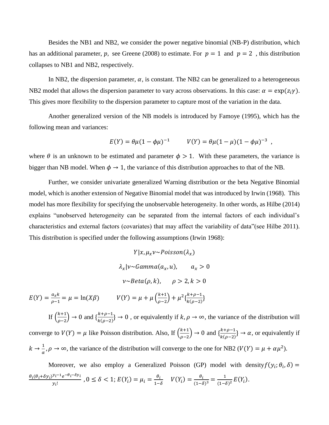Besides the NB1 and NB2, we consider the power negative binomial (NB-P) distribution, which has an additional parameter, p, see Greene (2008) to estimate. For  $p = 1$  and  $p = 2$ , this distribution collapses to NB1 and NB2, respectively.

In NB2, the dispersion parameter,  $\alpha$ , is constant. The NB2 can be generalized to a heterogeneous NB2 model that allows the dispersion parameter to vary across observations. In this case:  $\alpha = \exp(z_i \gamma)$ . This gives more flexibility to the dispersion parameter to capture most of the variation in the data.

Another generalized version of the NB models is introduced by Famoye (1995), which has the following mean and variances:

$$
E(Y) = \theta \mu (1 - \phi \mu)^{-1} \qquad V(Y) = \theta \mu (1 - \mu) (1 - \phi \mu)^{-3} ,
$$

where  $\theta$  is an unknown to be estimated and parameter  $\phi > 1$ . With these parameters, the variance is bigger than NB model. When  $\phi \rightarrow 1$ , the variance of this distribution approaches to that of the NB.

Further, we consider univariate generalized Warning distribution or the beta Negative Binomial model, which is another extension of Negative Binomial model that was introduced by Irwin (1968). This model has more flexibility for specifying the unobservable heterogeneity. In other words, as Hilbe (2014) explains "unobserved heterogeneity can be separated from the internal factors of each individual's characteristics and external factors (covariates) that may affect the variability of data"(see Hilbe 2011). This distribution is specified under the following assumptions (Irwin 1968):

$$
Y|x, \mu_x v \sim Poisson(\lambda_x)
$$
  
\n
$$
\lambda_x |v \sim Gamma(\alpha_x, u), \qquad \alpha_x > 0
$$
  
\n
$$
v \sim Beta(\rho, k), \qquad \rho > 2, k > 0
$$
  
\n
$$
E(Y) = \frac{a_x k}{\rho - 1} = \mu = \ln(X\beta) \qquad V(Y) = \mu + \mu \left(\frac{k+1}{\rho - 2}\right) + \mu^2 \left\{\frac{k+\rho-1}{k(\rho-2)}\right\}
$$

If  $\left(\frac{k+1}{2}\right)$  $\frac{k+1}{\rho-2}$  → 0 and  $\{\frac{k+\rho-1}{k(\rho-2)}\}$  $\frac{k+p-1}{k(\rho-2)}$  → 0, or equivalently if  $k, \rho \to \infty$ , the variance of the distribution will converge to  $V(Y) = \mu$  like Poisson distribution. Also, If  $\left(\frac{k+1}{2}\right)$  $\frac{k+1}{\rho-2}$  → 0 and  $\{\frac{k+\rho-1}{k(\rho-2)}\}$  $\frac{\kappa+p-1}{\kappa(\rho-2)}$  →  $\alpha$ , or equivalently if  $k \rightarrow \frac{1}{k}$  $\frac{1}{\alpha}$ ,  $\rho \to \infty$ , the variance of the distribution will converge to the one for NB2 ( $V(Y) = \mu + \alpha \mu^2$ ).

Moreover, we also employ a Generalized Poisson (GP) model with density  $f(y_i; \theta_i, \delta)$  =  $\theta_i(\theta_i+\delta y_i)^{y_i-1}e^{-\theta_i-\delta y_i}$  $\frac{\partial y_i - 1}{\partial y_i!}$ ,  $0 \le \delta < 1$ ;  $E(Y_i) = \mu_i = \frac{\theta_i}{1 - \delta}$  $\frac{\theta_i}{1-\delta}$   $V(Y_i) = \frac{\theta_i}{1-\delta}$  $\frac{\theta_i}{(1-\delta)^3} = \frac{1}{(1-\delta)^3}$  $\frac{1}{(1-\delta)^2}E(Y_i).$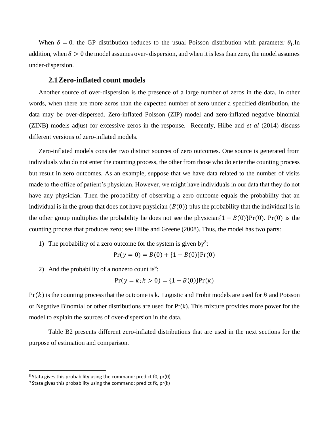When  $\delta = 0$ , the GP distribution reduces to the usual Poisson distribution with parameter  $\theta_i$ . In addition, when  $\delta > 0$  the model assumes over-dispersion, and when it is less than zero, the model assumes under-dispersion.

#### **2.1Zero-inflated count models**

Another source of over-dispersion is the presence of a large number of zeros in the data. In other words, when there are more zeros than the expected number of zero under a specified distribution, the data may be over-dispersed. Zero-inflated Poisson (ZIP) model and zero-inflated negative binomial (ZINB) models adjust for excessive zeros in the response. Recently, Hilbe and *et al* (2014) discuss different versions of zero-inflated models.

Zero-inflated models consider two distinct sources of zero outcomes. One source is generated from individuals who do not enter the counting process, the other from those who do enter the counting process but result in zero outcomes. As an example, suppose that we have data related to the number of visits made to the office of patient's physician. However, we might have individuals in our data that they do not have any physician. Then the probability of observing a zero outcome equals the probability that an individual is in the group that does not have physician  $(B(0))$  plus the probability that the individual is in the other group multiplies the probability he does not see the physician ${1 - B(0)}Pr(0)$ . Pr(0) is the counting process that produces zero; see Hilbe and Greene (2008). Thus, the model has two parts:

1) The probability of a zero outcome for the system is given by<sup>8</sup>:

$$
Pr(y = 0) = B(0) + \{1 - B(0)\}Pr(0)
$$

2) And the probability of a nonzero count is<sup>9</sup>:

$$
Pr(y = k; k > 0) = \{1 - B(0)\}Pr(k)
$$

 $Pr(k)$  is the counting process that the outcome is k. Logistic and Probit models are used for B and Poisson or Negative Binomial or other distributions are used for Pr(k). This mixture provides more power for the model to explain the sources of over-dispersion in the data.

Table B2 presents different zero-inflated distributions that are used in the next sections for the purpose of estimation and comparison.

l

<sup>&</sup>lt;sup>8</sup> Stata gives this probability using the command: predict f0, pr(0)

<sup>&</sup>lt;sup>9</sup> Stata gives this probability using the command: predict fk, pr(k)